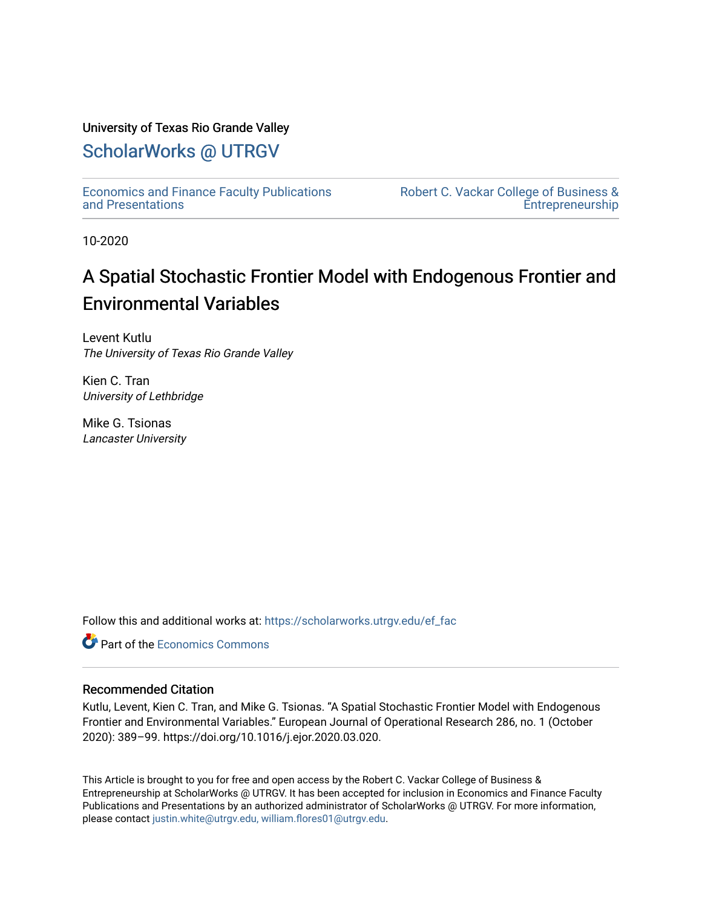# University of Texas Rio Grande Valley

# [ScholarWorks @ UTRGV](https://scholarworks.utrgv.edu/)

[Economics and Finance Faculty Publications](https://scholarworks.utrgv.edu/ef_fac)  [and Presentations](https://scholarworks.utrgv.edu/ef_fac) 

[Robert C. Vackar College of Business &](https://scholarworks.utrgv.edu/rcvcbe)  [Entrepreneurship](https://scholarworks.utrgv.edu/rcvcbe) 

10-2020

# A Spatial Stochastic Frontier Model with Endogenous Frontier and Environmental Variables

Levent Kutlu The University of Texas Rio Grande Valley

Kien C. Tran University of Lethbridge

Mike G. Tsionas Lancaster University

Follow this and additional works at: [https://scholarworks.utrgv.edu/ef\\_fac](https://scholarworks.utrgv.edu/ef_fac?utm_source=scholarworks.utrgv.edu%2Fef_fac%2F33&utm_medium=PDF&utm_campaign=PDFCoverPages)

**C** Part of the [Economics Commons](http://network.bepress.com/hgg/discipline/340?utm_source=scholarworks.utrgv.edu%2Fef_fac%2F33&utm_medium=PDF&utm_campaign=PDFCoverPages)

# Recommended Citation

Kutlu, Levent, Kien C. Tran, and Mike G. Tsionas. "A Spatial Stochastic Frontier Model with Endogenous Frontier and Environmental Variables." European Journal of Operational Research 286, no. 1 (October 2020): 389–99. https://doi.org/10.1016/j.ejor.2020.03.020.

This Article is brought to you for free and open access by the Robert C. Vackar College of Business & Entrepreneurship at ScholarWorks @ UTRGV. It has been accepted for inclusion in Economics and Finance Faculty Publications and Presentations by an authorized administrator of ScholarWorks @ UTRGV. For more information, please contact [justin.white@utrgv.edu, william.flores01@utrgv.edu](mailto:justin.white@utrgv.edu,%20william.flores01@utrgv.edu).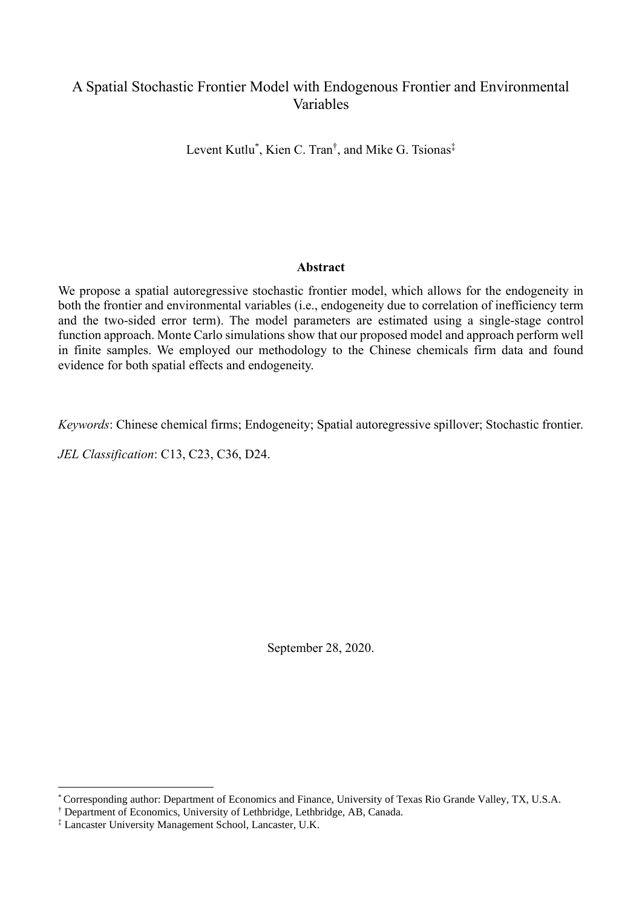# A Spatial Stochastic Frontier Model with Endogenous Frontier and Environmental Variables

Levent Kutlu<sup>\*</sup>, Kien C. Tran<sup>†</sup>, and Mike G. Tsionas<sup>‡</sup>

# **Abstract**

We propose a spatial autoregressive stochastic frontier model, which allows for the endogeneity in both the frontier and environmental variables (i.e., endogeneity due to correlation of inefficiency term and the two-sided error term). The model parameters are estimated using a single-stage control function approach. Monte Carlo simulations show that our proposed model and approach perform well in finite samples. We employed our methodology to the Chinese chemicals firm data and found evidence for both spatial effects and endogeneity.

*Keywords*: Chinese chemical firms; Endogeneity; Spatial autoregressive spillover; Stochastic frontier.

*JEL Classification*: C13, C23, C36, D24.

September 28, 2020.

<sup>\*</sup> Corresponding author: Department of Economics and Finance, University of Texas Rio Grande Valley, TX, U.S.A.

<sup>†</sup> Department of Economics, University of Lethbridge, Lethbridge, AB, Canada.

<sup>‡</sup> Lancaster University Management School, Lancaster, U.K.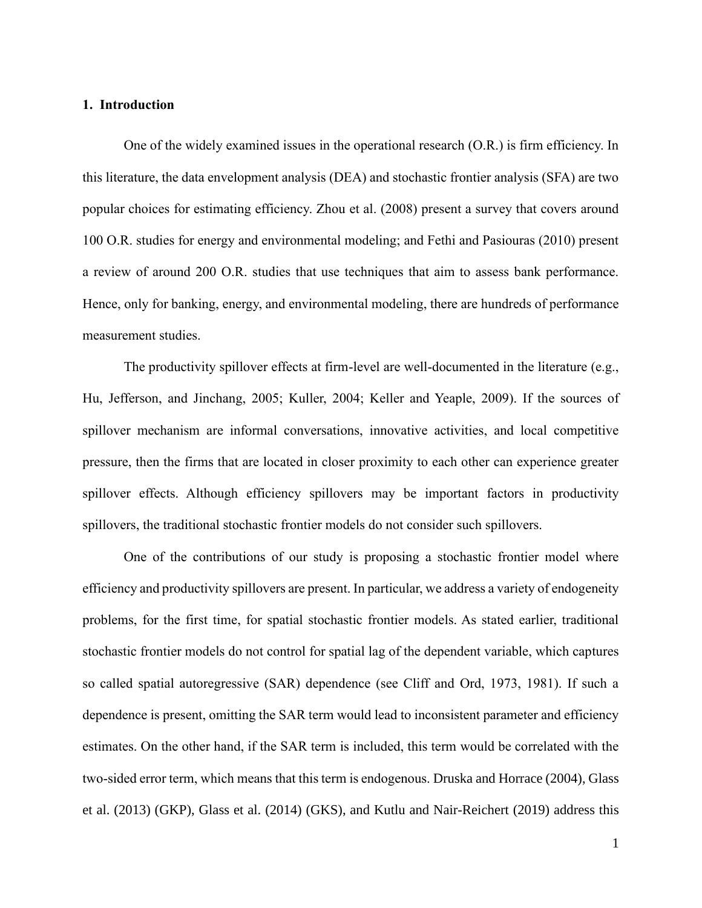#### **1. Introduction**

One of the widely examined issues in the operational research (O.R.) is firm efficiency. In this literature, the data envelopment analysis (DEA) and stochastic frontier analysis (SFA) are two popular choices for estimating efficiency. Zhou et al. (2008) present a survey that covers around 100 O.R. studies for energy and environmental modeling; and Fethi and Pasiouras (2010) present a review of around 200 O.R. studies that use techniques that aim to assess bank performance. Hence, only for banking, energy, and environmental modeling, there are hundreds of performance measurement studies.

The productivity spillover effects at firm-level are well-documented in the literature (e.g., Hu, Jefferson, and Jinchang, 2005; Kuller, 2004; Keller and Yeaple, 2009). If the sources of spillover mechanism are informal conversations, innovative activities, and local competitive pressure, then the firms that are located in closer proximity to each other can experience greater spillover effects. Although efficiency spillovers may be important factors in productivity spillovers, the traditional stochastic frontier models do not consider such spillovers.

One of the contributions of our study is proposing a stochastic frontier model where efficiency and productivity spillovers are present. In particular, we address a variety of endogeneity problems, for the first time, for spatial stochastic frontier models. As stated earlier, traditional stochastic frontier models do not control for spatial lag of the dependent variable, which captures so called spatial autoregressive (SAR) dependence (see Cliff and Ord, 1973, 1981). If such a dependence is present, omitting the SAR term would lead to inconsistent parameter and efficiency estimates. On the other hand, if the SAR term is included, this term would be correlated with the two-sided error term, which means that this term is endogenous. Druska and Horrace (2004), Glass et al. (2013) (GKP), Glass et al. (2014) (GKS), and Kutlu and Nair-Reichert (2019) address this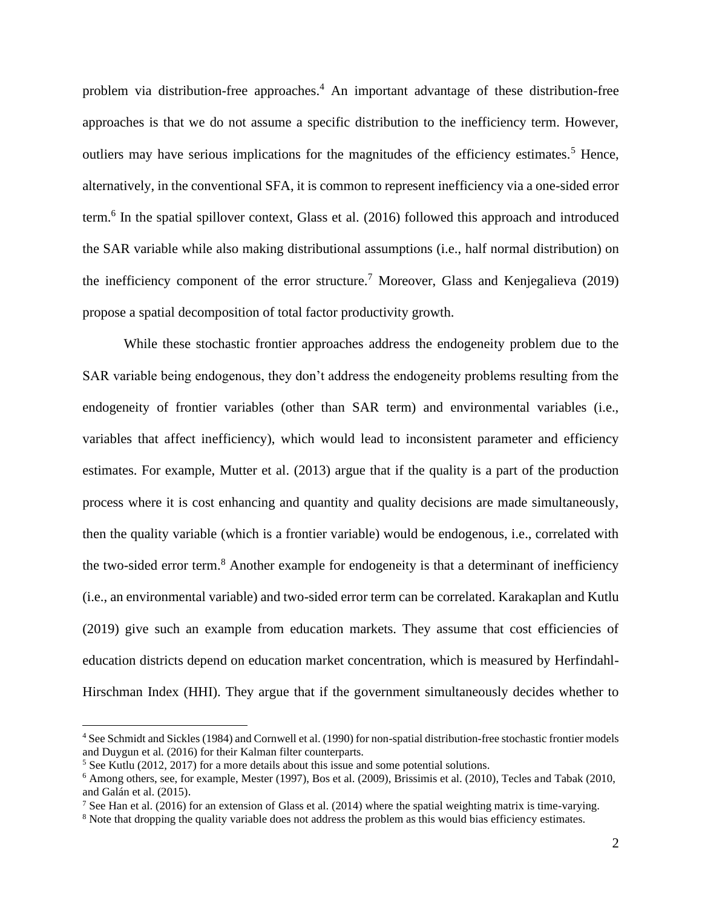problem via distribution-free approaches. <sup>4</sup> An important advantage of these distribution-free approaches is that we do not assume a specific distribution to the inefficiency term. However, outliers may have serious implications for the magnitudes of the efficiency estimates.<sup>5</sup> Hence, alternatively, in the conventional SFA, it is common to represent inefficiency via a one-sided error term.<sup>6</sup> In the spatial spillover context, Glass et al. (2016) followed this approach and introduced the SAR variable while also making distributional assumptions (i.e., half normal distribution) on the inefficiency component of the error structure.<sup>7</sup> Moreover, Glass and Kenjegalieva (2019) propose a spatial decomposition of total factor productivity growth.

While these stochastic frontier approaches address the endogeneity problem due to the SAR variable being endogenous, they don't address the endogeneity problems resulting from the endogeneity of frontier variables (other than SAR term) and environmental variables (i.e., variables that affect inefficiency), which would lead to inconsistent parameter and efficiency estimates. For example, Mutter et al. (2013) argue that if the quality is a part of the production process where it is cost enhancing and quantity and quality decisions are made simultaneously, then the quality variable (which is a frontier variable) would be endogenous, i.e., correlated with the two-sided error term.<sup>8</sup> Another example for endogeneity is that a determinant of inefficiency (i.e., an environmental variable) and two-sided error term can be correlated. Karakaplan and Kutlu (2019) give such an example from education markets. They assume that cost efficiencies of education districts depend on education market concentration, which is measured by Herfindahl-Hirschman Index (HHI). They argue that if the government simultaneously decides whether to

<sup>4</sup> See Schmidt and Sickles (1984) and Cornwell et al. (1990) for non-spatial distribution-free stochastic frontier models and Duygun et al. (2016) for their Kalman filter counterparts.

<sup>&</sup>lt;sup>5</sup> See Kutlu (2012, 2017) for a more details about this issue and some potential solutions.

<sup>6</sup> Among others, see, for example, Mester (1997), Bos et al. (2009), Brissimis et al. (2010), Tecles and Tabak (2010, and Galán et al. (2015).

<sup>&</sup>lt;sup>7</sup> See Han et al. (2016) for an extension of Glass et al. (2014) where the spatial weighting matrix is time-varying.

<sup>&</sup>lt;sup>8</sup> Note that dropping the quality variable does not address the problem as this would bias efficiency estimates.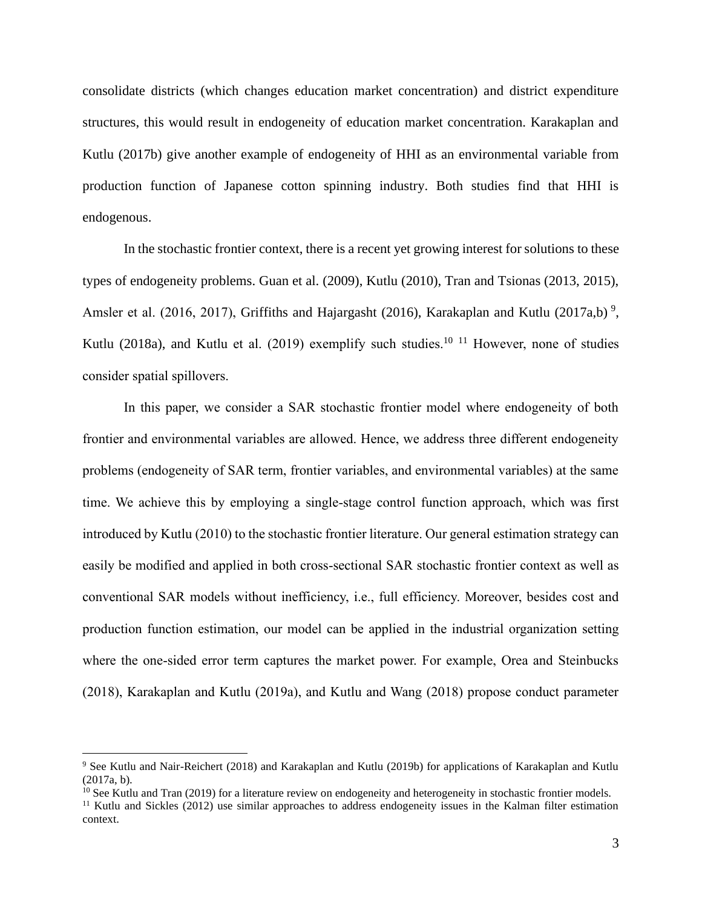consolidate districts (which changes education market concentration) and district expenditure structures, this would result in endogeneity of education market concentration. Karakaplan and Kutlu (2017b) give another example of endogeneity of HHI as an environmental variable from production function of Japanese cotton spinning industry. Both studies find that HHI is endogenous.

In the stochastic frontier context, there is a recent yet growing interest for solutions to these types of endogeneity problems. Guan et al. (2009), Kutlu (2010), Tran and Tsionas (2013, 2015), Amsler et al. (2016, 2017), Griffiths and Hajargasht (2016), Karakaplan and Kutlu (2017a,b)<sup>9</sup>, Kutlu (2018a), and Kutlu et al. (2019) exemplify such studies.<sup>10 11</sup> However, none of studies consider spatial spillovers.

In this paper, we consider a SAR stochastic frontier model where endogeneity of both frontier and environmental variables are allowed. Hence, we address three different endogeneity problems (endogeneity of SAR term, frontier variables, and environmental variables) at the same time. We achieve this by employing a single-stage control function approach, which was first introduced by Kutlu (2010) to the stochastic frontier literature. Our general estimation strategy can easily be modified and applied in both cross-sectional SAR stochastic frontier context as well as conventional SAR models without inefficiency, i.e., full efficiency. Moreover, besides cost and production function estimation, our model can be applied in the industrial organization setting where the one-sided error term captures the market power. For example, Orea and Steinbucks (2018), Karakaplan and Kutlu (2019a), and Kutlu and Wang (2018) propose conduct parameter

<sup>9</sup> See Kutlu and Nair-Reichert (2018) and Karakaplan and Kutlu (2019b) for applications of Karakaplan and Kutlu (2017a, b).

 $10$  See Kutlu and Tran (2019) for a literature review on endogeneity and heterogeneity in stochastic frontier models.

<sup>&</sup>lt;sup>11</sup> Kutlu and Sickles (2012) use similar approaches to address endogeneity issues in the Kalman filter estimation context.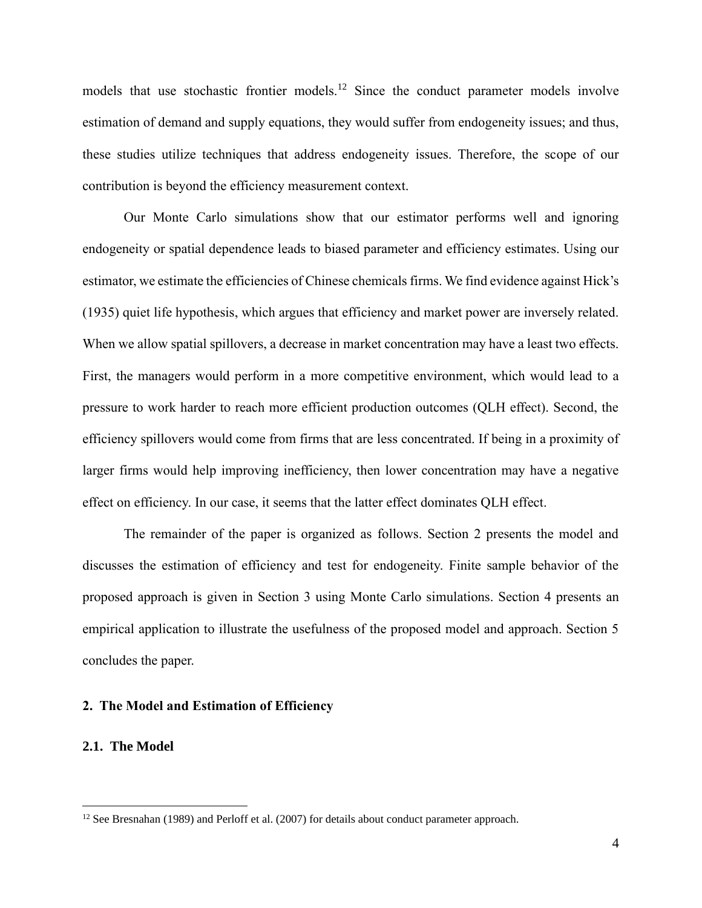models that use stochastic frontier models.<sup>12</sup> Since the conduct parameter models involve estimation of demand and supply equations, they would suffer from endogeneity issues; and thus, these studies utilize techniques that address endogeneity issues. Therefore, the scope of our contribution is beyond the efficiency measurement context.

Our Monte Carlo simulations show that our estimator performs well and ignoring endogeneity or spatial dependence leads to biased parameter and efficiency estimates. Using our estimator, we estimate the efficiencies of Chinese chemicals firms. We find evidence against Hick's (1935) quiet life hypothesis, which argues that efficiency and market power are inversely related. When we allow spatial spillovers, a decrease in market concentration may have a least two effects. First, the managers would perform in a more competitive environment, which would lead to a pressure to work harder to reach more efficient production outcomes (QLH effect). Second, the efficiency spillovers would come from firms that are less concentrated. If being in a proximity of larger firms would help improving inefficiency, then lower concentration may have a negative effect on efficiency. In our case, it seems that the latter effect dominates QLH effect.

The remainder of the paper is organized as follows. Section 2 presents the model and discusses the estimation of efficiency and test for endogeneity. Finite sample behavior of the proposed approach is given in Section 3 using Monte Carlo simulations. Section 4 presents an empirical application to illustrate the usefulness of the proposed model and approach. Section 5 concludes the paper.

# **2. The Model and Estimation of Efficiency**

# **2.1. The Model**

<sup>&</sup>lt;sup>12</sup> See Bresnahan (1989) and Perloff et al. (2007) for details about conduct parameter approach.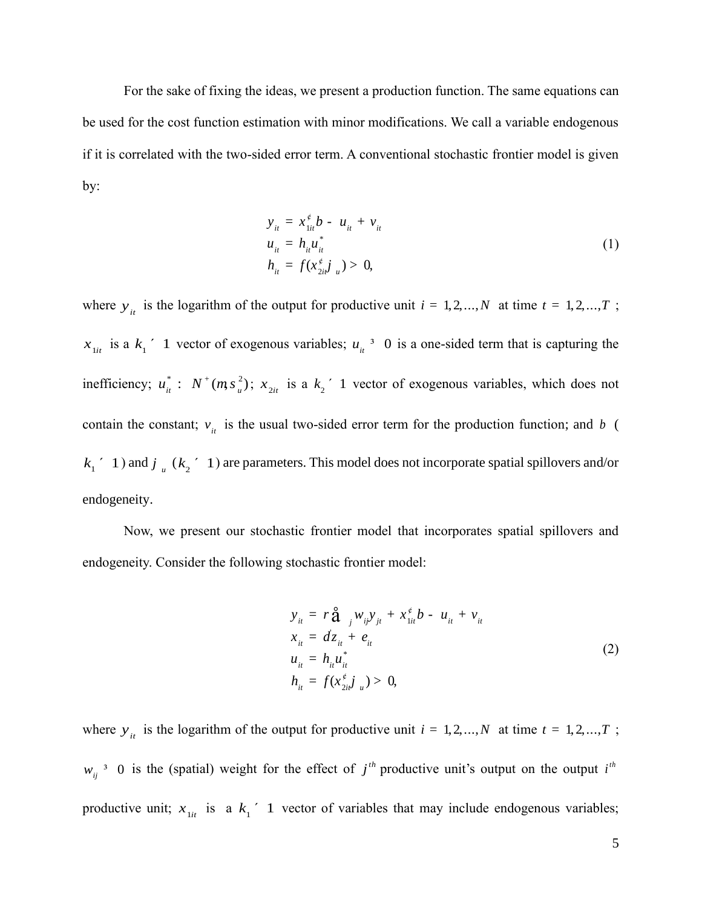For the sake of fixing the ideas, we present a production function. The same equations can be used for the cost function estimation with minor modifications. We call a variable endogenous if it is correlated with the two-sided error term. A conventional stochastic frontier model is given by:

$$
y_{it} = x_{1it}^{\neq} b - u_{it} + v_{it}
$$
  
\n
$$
u_{it} = h_{it} u_{it}^*
$$
  
\n
$$
h_{it} = f(x_{2it}^{\neq})_{u} > 0,
$$
\n(1)

where  $y_i$  is the logarithm of the output for productive unit  $i = 1, 2, ..., N$  at time  $t = 1, 2, ..., T$ ;  $x_{\text{lin}}$  is a  $k_1$ <sup>'</sup> 1 vector of exogenous variables;  $u_{\text{in}}^3$  0 is a one-sided term that is capturing the inefficiency;  $u_{it}^*$ :  $N^+(m s_u^2)$ ;  $x_{2it}$  is a  $k_z$  1 vector of exogenous variables, which does not contain the constant;  $v_{it}$  is the usual two-sided error term for the production function; and b (  $k_1$ <sup>'</sup> 1) and  $j_{\mu}$  ( $k_2$ <sup>'</sup> 1) are parameters. This model does not incorporate spatial spillovers and/or endogeneity.

Now, we present our stochastic frontier model that incorporates spatial spillovers and endogeneity. Consider the following stochastic frontier model:

$$
y_{it} = r \hat{\mathbf{a}}_{j} w_{ij} y_{jt} + x_{1it}^{\phi} b - u_{it} + v_{it}
$$
  
\n
$$
x_{it} = dz_{it} + e_{it}
$$
  
\n
$$
u_{it} = h_{it} u_{it}^{*}
$$
  
\n
$$
h_{it} = f(x_{2it}^{\phi})_{u} > 0,
$$
\n(2)

where  $y_i$  is the logarithm of the output for productive unit  $i = 1, 2, ..., N$  at time  $t = 1, 2, ..., T$ ;  $w_{ij}$ <sup>3</sup> 0 is the (spatial) weight for the effect of  $j<sup>th</sup>$  productive unit's output on the output  $i<sup>th</sup>$ productive unit;  $x_{\text{lit}}$  is a  $k_1$  1 vector of variables that may include endogenous variables;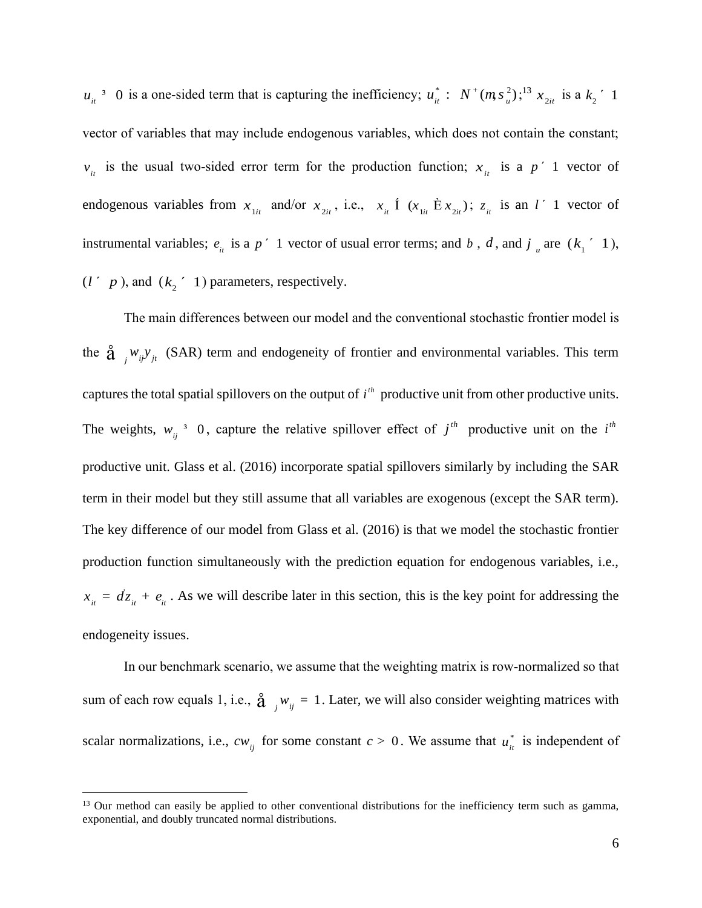$u_{ii}$ <sup>3</sup> 0 is a one-sided term that is capturing the inefficiency;  $u_{ii}^*$ :  $N^+(m s_{ii}^2);$ <sup>13</sup>  $x_{2it}$  is a  $k_i$ <sup>'</sup> 1 vector of variables that may include endogenous variables, which does not contain the constant;  $v_{it}$  is the usual two-sided error term for the production function;  $x_{it}$  is a  $p'$  1 vector of endogenous variables from  $x_{1it}$  and/or  $x_{2it}$ , i.e.,  $x_{it}$  1  $(x_{1it} \triangle x_{2it})$ ;  $z_{it}$  is an l' 1 vector of instrumental variables;  $e_{ii}$  is a  $p'$  1 vector of usual error terms; and b, d, and j<sub>u</sub> are  $(k_1'$  1),  $(l' p)$ , and  $(k_2' 1)$  parameters, respectively.

The main differences between our model and the conventional stochastic frontier model is the  $\hat{\mathbf{a}}$  <sub>*j</sub>*  $w_{ij}y_{jt}$  (SAR) term and endogeneity of frontier and environmental variables. This term</sub> captures the total spatial spillovers on the output of  $i<sup>th</sup>$  productive unit from other productive units. The weights,  $w_{ij}$ <sup>3</sup> 0, capture the relative spillover effect of  $j<sup>th</sup>$  productive unit on the  $i<sup>th</sup>$ productive unit. Glass et al. (2016) incorporate spatial spillovers similarly by including the SAR term in their model but they still assume that all variables are exogenous (except the SAR term). The key difference of our model from Glass et al. (2016) is that we model the stochastic frontier production function simultaneously with the prediction equation for endogenous variables, i.e.,  $x_{it} = dz_{it} + e_{it}$ . As we will describe later in this section, this is the key point for addressing the endogeneity issues.

In our benchmark scenario, we assume that the weighting matrix is row-normalized so that sum of each row equals 1, i.e.,  $\hat{a}$   $_{j}w_{ij} = 1$ . Later, we will also consider weighting matrices with scalar normalizations, i.e.,  $cw_{ij}$  for some constant  $c > 0$ . We assume that  $u_{ii}^*$  is independent of

<sup>&</sup>lt;sup>13</sup> Our method can easily be applied to other conventional distributions for the inefficiency term such as gamma, exponential, and doubly truncated normal distributions.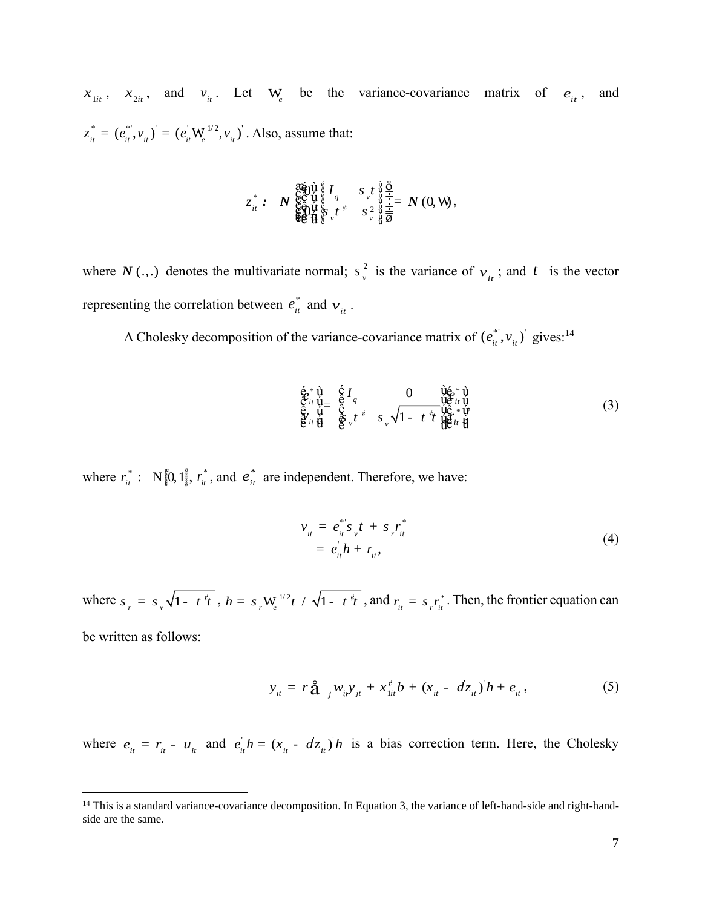$x_{1it}$ ,  $x_{2it}$ , and  $v_{it}$ . Let W<sub>e</sub> be the variance-covariance matrix of  $e_{it}$ , and  $z_{it}^{*} = (e_{it}^{*}, v_{it})^{'} = (e_{it}^{'} \mathbf{W}_{e}^{1/2}, v_{it})^{'}$ . Also, assume that:

$$
z_{ii}^* : N_{\substack{\xi \in \mathcal{Y} \\ \xi \in \mathcal{Y}}}^{\substack{\xi \in \mathcal{Y} \\ \xi \in \mathcal{Y} \\ \xi \in \mathcal{Y}}} \mathfrak{f}_{q}^{\xi} I_{q} \quad s_{\nu}^t \mathfrak{f}_{\substack{\psi \in \mathcal{Y} \\ \xi \in \mathcal{Y} \\ \xi \in \mathcal{Y}}} \frac{\xi}{\frac{1}{2}} = N(0, W),
$$

where  $N(.)$  denotes the multivariate normal;  $s<sub>x</sub><sup>2</sup>$  $s_v^2$  is the variance of  $v_i$ ; and t is the vector representing the correlation between  $e_{it}^*$  and  $v_{it}$ .

A Cholesky decomposition of the variance-covariance matrix of  $(e_{ii}^*, v_{ii})$  gives:<sup>14</sup>

$$
\begin{array}{cccc}\n\dot{\mathbf{e}}_{ii}^* \dot{\mathbf{u}} & \dot{\mathbf{e}}_{i}^T a \\
\ddot{\mathbf{e}}_{ii}^* \dot{\mathbf{u}} & \ddot{\mathbf{e}}_{i}^T a \\
\ddot{\mathbf{e}}_{ii}^* \ddot{\mathbf{u}} & \ddot{\mathbf{e}}_{i}^T a \\
\ddot{\mathbf{e}}_{ii}^* \ddot{\mathbf{u}} & \ddot{\mathbf{e}}_{i}^T a \\
\ddot{\mathbf{e}}_{ii}^T a & \ddot{\mathbf{e}}_{i}^T a \\
\ddot{\mathbf{e}}_{i}^T a & \ddot{\mathbf{e}}_{i}^T a \\
\ddot{\mathbf{e}}_{i}^T a & \ddot{\mathbf{e}}_{i}^T a \\
\ddot{\mathbf{e}}_{i}^T a & \ddot{\mathbf{e}}_{i}^T a \\
\ddot{\mathbf{e}}_{i}^T a & \ddot{\mathbf{e}}_{i}^T a \\
\ddot{\mathbf{e}}_{i}^T a & \ddot{\mathbf{e}}_{i}^T a \\
\ddot{\mathbf{e}}_{i}^T a & \ddot{\mathbf{e}}_{i}^T a \\
\ddot{\mathbf{e}}_{i}^T a & \ddot{\mathbf{e}}_{i}^T a \\
\ddot{\mathbf{e}}_{i}^T a & \ddot{\mathbf{e}}_{i}^T a \\
\ddot{\mathbf{e}}_{i}^T a & \ddot{\mathbf{e}}_{i}^T a \\
\ddot{\mathbf{e}}_{i}^T a & \ddot{\mathbf{e}}_{i}^T a \\
\ddot{\mathbf{e}}_{i}^T a & \ddot{\mathbf{e}}_{i}^T a \\
\ddot{\mathbf{e}}_{i}^T a & \ddot{\mathbf{e}}_{i}^T a & \ddot{\mathbf{e}}_{i}^T a \\
\ddot{\mathbf{e}}_{i}^T a & \ddot{\mathbf{e}}_{i}^T a & \ddot{\mathbf{e}}_{i}^T a \\
\ddot{\mathbf{e}}_{i}^T a & \ddot{\mathbf{e}}_{i}^T a & \ddot{\mathbf{e}}_{i}^T a \\
\ddot{\mathbf{e}}_{i}^T a & \ddot{\mathbf{e}}_{i}^T a & \ddot{\mathbf{e}}_{i}^T a \\
\ddot{\mathbf{e}}_{i}^T a & \ddot{\
$$

where  $r_{it}^*$ :  $N_{i}^*$   $\left[0, 1 \frac{3}{5}, r_{it}^* \right]$ , and  $e_{it}^*$  $e_{i}^*$  are independent. Therefore, we have:

$$
v_{it} = e_{it}^{*'} s_v t + s_r r_{it}^{*}
$$
  
=  $e_{it}^{'} h + r_{it}$ , (4)

where  $s_r = s_v \sqrt{1 - t^2 t}$ ,  $h = s_r W_e^{1/2} t / \sqrt{1 - t^2 t}$ , and  $r_{it} = s_r r_{it}^*$ . Then, the frontier equation can

be written as follows:

$$
y_{ii} = r\hat{a}_{j} w_{ij} y_{ji} + x_{1ii}^{\neq} b + (x_{ii} - dz_{ii}) h + e_{ii}, \qquad (5)
$$

where  $e_{it} = r_{it} - u_{it}$  and  $e_{it} + h = (x_{it} - dz_{it})$  *i* is a bias correction term. Here, the Cholesky

<sup>&</sup>lt;sup>14</sup> This is a standard variance-covariance decomposition. In Equation 3, the variance of left-hand-side and right-handside are the same.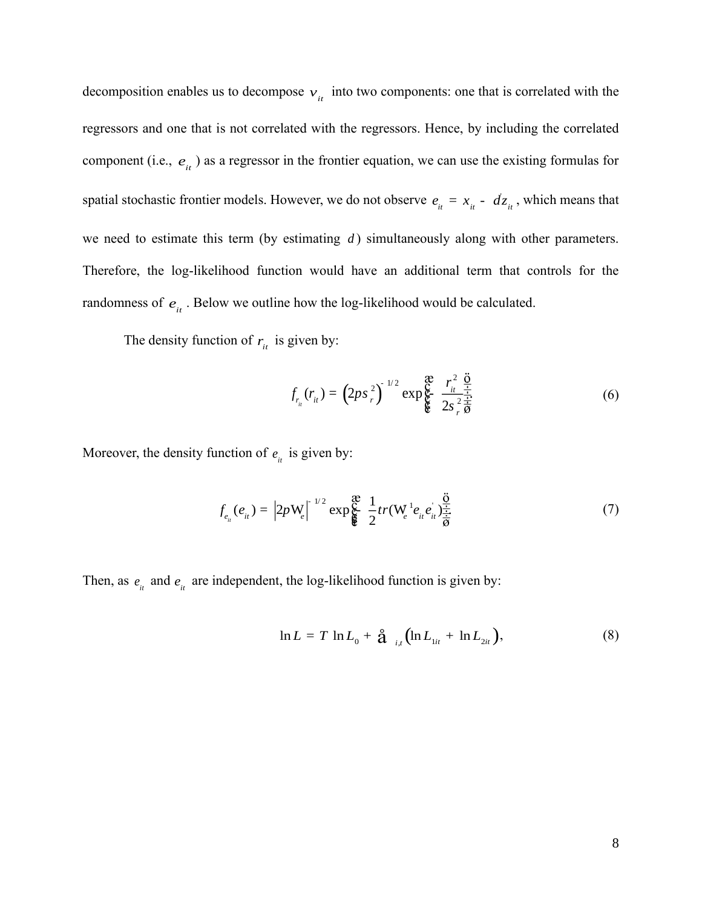decomposition enables us to decompose  $v_i$  into two components: one that is correlated with the regressors and one that is not correlated with the regressors. Hence, by including the correlated component (i.e.,  $e_{it}$ ) as a regressor in the frontier equation, we can use the existing formulas for spatial stochastic frontier models. However, we do not observe  $e_{it} = x_{it} - d z_{it}$ , which means that we need to estimate this term (by estimating *d* ) simultaneously along with other parameters. Therefore, the log-likelihood function would have an additional term that controls for the randomness of  $e_{it}$ . Below we outline how the log-likelihood would be calculated.

The density function of  $r_i$  is given by:

$$
f_{r_{it}}(r_{it}) = (2ps_r^2)^{1/2} \exp{\frac{\mathfrak{E}}{\mathfrak{E}} \frac{r_{it}^2}{2s_r^2 \frac{\ddot{\Theta}}{\ddot{\Theta}}}}
$$
(6)

2

Moreover, the density function of  $e_{it}$  is given by:

$$
f_{e_{it}}(e_{it}) = |2p\mathbf{W}_e|^{-1/2} \exp\left(\frac{\mathfrak{F}}{\mathfrak{F}}\right) \frac{1}{2} tr(\mathbf{W}_e^{-1} e_{it} e_{it}) \frac{\frac{\mathfrak{F}}{\frac{1}{2}}}{\frac{1}{2}} \tag{7}
$$

Then, as  $e_{it}$  and  $e_{it}$  are independent, the log-likelihood function is given by:

$$
\ln L = T \ln L_0 + \hat{\mathbf{a}}_{i,t} \left( \ln L_{1it} + \ln L_{2it} \right), \tag{8}
$$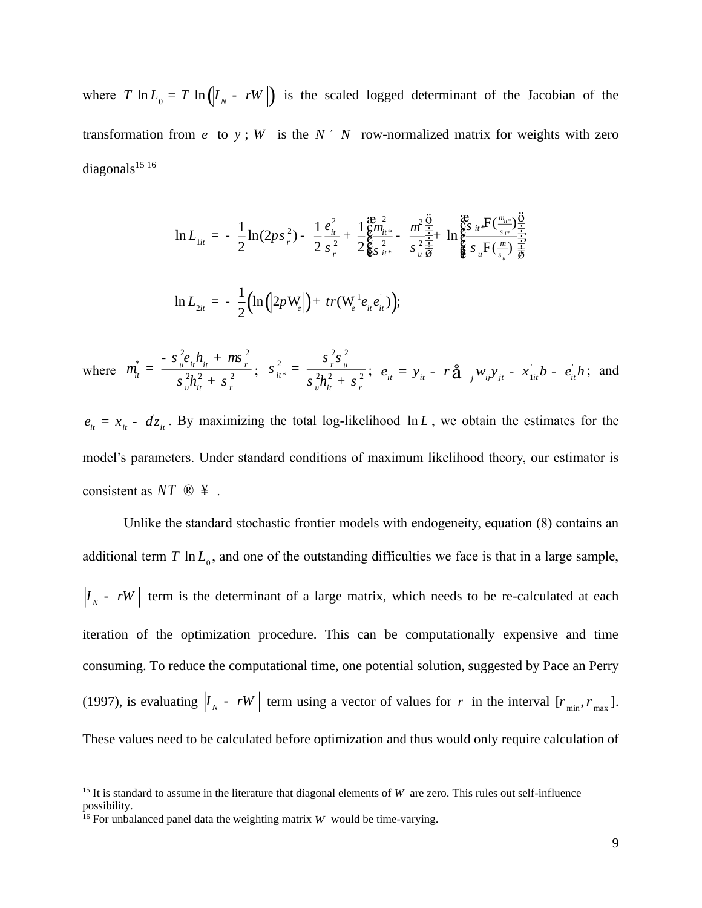where  $T \ln L_0 = T \ln (l_x - rw)$  is the scaled logged determinant of the Jacobian of the transformation from  $e$  to  $y$ ;  $W$  is the  $N'$   $N$  row-normalized matrix for weights with zero diagonals $1516$ 

$$
\ln L_{1it} = -\frac{1}{2} \ln(2ps_r^2) - \frac{1}{2} \frac{e_{it}^2}{s_r^2} + \frac{1}{2} \frac{\mathcal{E}m_{1it}^2}{\mathcal{E} s_{it}^2} - \frac{m^2 \frac{\ddot{\mathcal{O}}}{\dot{+}}}{s_u^2 \frac{\dot{\mathcal{E}}}{\dot{\mathcal{B}}}} \ln \mathcal{E} \frac{\mathcal{E}S}{s_u \mathcal{F}} \left(\frac{m_{it} \cdot \dot{\mathcal{O}}}{s_u} \right) \frac{\dot{\mathcal{O}}}{\dot{\mathcal{B}}}
$$
  

$$
\ln L_{2it} = -\frac{1}{2} \Big( \ln \Big( |2p \mathbf{W}_e| \Big) + tr(\mathbf{W}_e^{-1} e_{it} e_{it}) \Big);
$$

where  $m_{it}^* = \frac{v_{it}v_{it} + v_{it}}{v_{12}}$ *it u it r e h h*  $\frac{1}{a_{it}} = \frac{-s_{u}^2 e_{it} h_{it} + m s_{r}^2}{2s_{u}^2}$ *s ms m s s*  $=\frac{-s\frac{7}{u}e_{it}h_{it} + ms\frac{7}{r}}{s\frac{2}{u}h_{it}^2 + s\frac{2}{r}}$ ;  $s\frac{2}{u} = \frac{s\frac{7}{r}s_{it}^2}{s\frac{2}{u}h_{it}^2 + s\frac{2}{r}}$ 2 2 2 \*  $2 \times 2$  2 *s s s s s*  $=\frac{r}{s^2h^2+s^2}; e_{it}=y_{it}-r\hat{a}_{t}$ ,  $w_{ij}y_{jt}-x_{1it}b-e_{it}$  $= y_{ii} - r\hat{a}$   $w_{ii}y_{ii} - x_{1ii}b - e_{ii}h$ ; and

 $e_{it} = x_{it} - dz_{it}$ . By maximizing the total log-likelihood ln *L*, we obtain the estimates for the model's parameters. Under standard conditions of maximum likelihood theory, our estimator is consistent as  $NT \otimes 4$ .

Unlike the standard stochastic frontier models with endogeneity, equation (8) contains an additional term  $T \ln L_0$ , and one of the outstanding difficulties we face is that in a large sample,  $I_{N}$  - *rW* | term is the determinant of a large matrix, which needs to be re-calculated at each iteration of the optimization procedure. This can be computationally expensive and time consuming. To reduce the computational time, one potential solution, suggested by Pace an Perry (1997), is evaluating  $|I_{N} - rW|$  term using a vector of values for r in the interval  $[r_{min}, r_{max}]$ . These values need to be calculated before optimization and thus would only require calculation of

<sup>&</sup>lt;sup>15</sup> It is standard to assume in the literature that diagonal elements of W are zero. This rules out self-influence possibility.

<sup>&</sup>lt;sup>16</sup> For unbalanced panel data the weighting matrix  $W$  would be time-varying.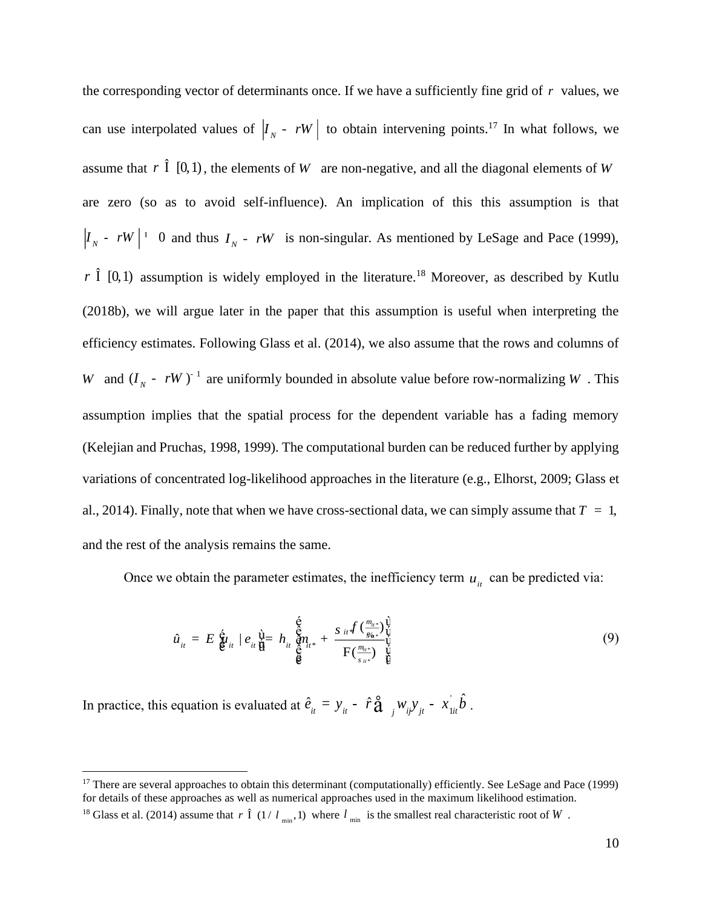the corresponding vector of determinants once. If we have a sufficiently fine grid of *r* values, we can use interpolated values of  $|I_{N} - rW|$  to obtain intervening points.<sup>17</sup> In what follows, we assume that  $r \hat{1}$  [0,1), the elements of W are non-negative, and all the diagonal elements of W are zero (so as to avoid self-influence). An implication of this this assumption is that  $I_N$  -  $rW$  <sup>1</sup> 0 and thus  $I_N$  -  $rW$  is non-singular. As mentioned by LeSage and Pace (1999), *r*  $\hat{I}$  [0,1) assumption is widely employed in the literature.<sup>18</sup> Moreover, as described by Kutlu (2018b), we will argue later in the paper that this assumption is useful when interpreting the efficiency estimates. Following Glass et al. (2014), we also assume that the rows and columns of *W* and  $(I_N - rW)^{-1}$  are uniformly bounded in absolute value before row-normalizing *W*. This assumption implies that the spatial process for the dependent variable has a fading memory (Kelejian and Pruchas, 1998, 1999). The computational burden can be reduced further by applying variations of concentrated log-likelihood approaches in the literature (e.g., Elhorst, 2009; Glass et al., 2014). Finally, note that when we have cross-sectional data, we can simply assume that  $T = 1$ , and the rest of the analysis remains the same.

Once we obtain the parameter estimates, the inefficiency term  $u_{it}$  can be predicted via:

$$
\hat{u}_{it} = E \, \hat{\xi}_{it} \, | \, e_{it} \, \hat{\xi}_{it} = h_{it} \, \hat{\xi}_{it} \, n_{it} + \frac{s_{it} f \, (\frac{m_{it} \cdot s}{g_{\psi_{it}}}) \hat{V}}{F(\frac{m_{it} \cdot s}{s_{it}}) \, \hat{V}} \tag{9}
$$

In practice, this equation is evaluated at  $\hat{e}_{it} = y_{it} - \hat{r} \hat{a}_{j} w_{ij} y_{jt} - x_{1it}$  $\hat{e}_{ii} = y_{ii} - \hat{r} \hat{a}_{ii} w_{ii} y_{ii} - x_{ii} \hat{b}_{ii}$ 

 $17$  There are several approaches to obtain this determinant (computationally) efficiently. See LeSage and Pace (1999) for details of these approaches as well as numerical approaches used in the maximum likelihood estimation.

<sup>&</sup>lt;sup>18</sup> Glass et al. (2014) assume that r  $\hat{I}$  (1/  $l_{min}$ , 1) where  $l_{min}$  is the smallest real characteristic root of W.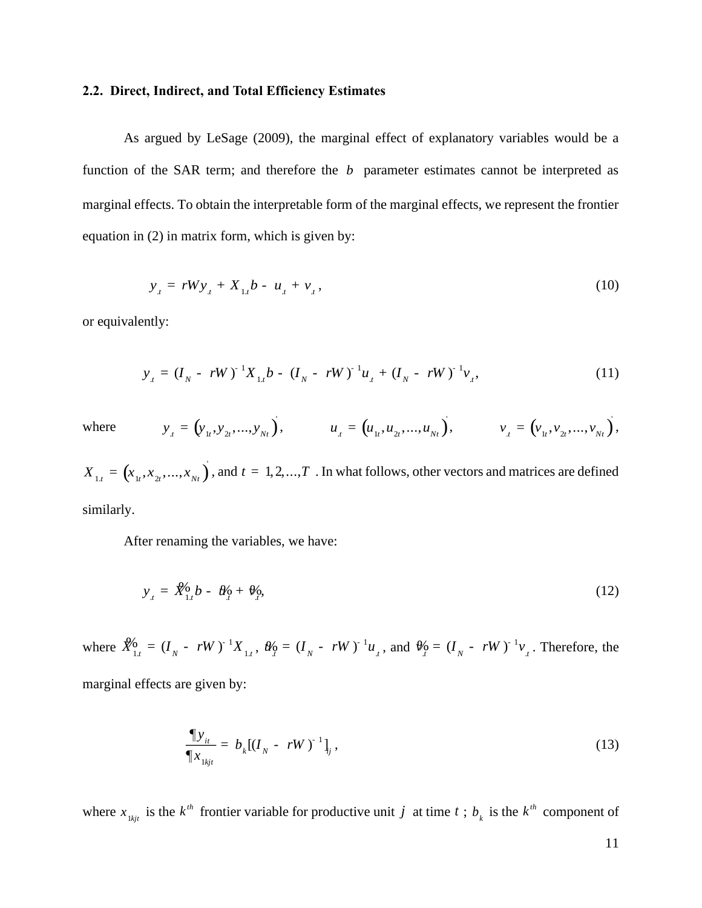# **2.2. Direct, Indirect, and Total Efficiency Estimates**

As argued by LeSage (2009), the marginal effect of explanatory variables would be a function of the SAR term; and therefore the  $b$  parameter estimates cannot be interpreted as marginal effects. To obtain the interpretable form of the marginal effects, we represent the frontier equation in (2) in matrix form, which is given by:

$$
y_{t} = rW y_{t} + X_{1t} b - u_{t} + v_{t}, \qquad (10)
$$

or equivalently:

$$
y_{t} = (I_{N} - rW)^{-1}X_{1t}b - (I_{N} - rW)^{-1}u_{t} + (I_{N} - rW)^{-1}v_{t},
$$
\n(11)

where  $y_t = (y_{1t}, y_{2t}, ..., y_{Nt})$  $u_{i} = (u_{1i}, u_{2i}, ..., u_{Nt}),$   $u_{j} = (u_{1i}, u_{2i}, ..., u_{Nt}),$  $v_{t} = (v_{1t}, v_{2t}, ..., v_{Nt}),$   $v_{t} = (v_{1t}, v_{2t}, ..., v_{Nt})$  $v_{1t} = (v_{1t}, v_{2t}, ..., v_{Nt}),$ 

 $X_{1,t} = (x_{1t}, x_{2t},...,x_{Nt})$  $\mathbf{r}_{1,t} = (x_{1,t}, x_{2,t},...,x_{N_t})$ , and  $t = 1, 2,...,T$ . In what follows, other vectors and matrices are defined similarly.

After renaming the variables, we have:

$$
y_{\mu} = \mathcal{X}_{1,\mu}^0 b - \theta_{\mu}^0 + \theta_{\mu}^0, \tag{12}
$$

where  $\hat{X}_{1,t}^6 = (I_N - rW)^{-1} X_{1,t}$ ,  $\hat{W}_2^6 = (I_N - rW)^{-1} u_{1,t}$ , and  $\hat{W}_3^6 = (I_N - rW)^{-1} v_{1,t}$ . Therefore, the marginal effects are given by:

$$
\frac{\P y_{it}}{\P x_{1kjt}} = b_k [(I_N - rW)^{-1}]_{ij},
$$
\n(13)

where  $x_{1kji}$  is the  $k^{th}$  frontier variable for productive unit *j* at time *t*;  $b_k$  is the  $k^{th}$  component of

11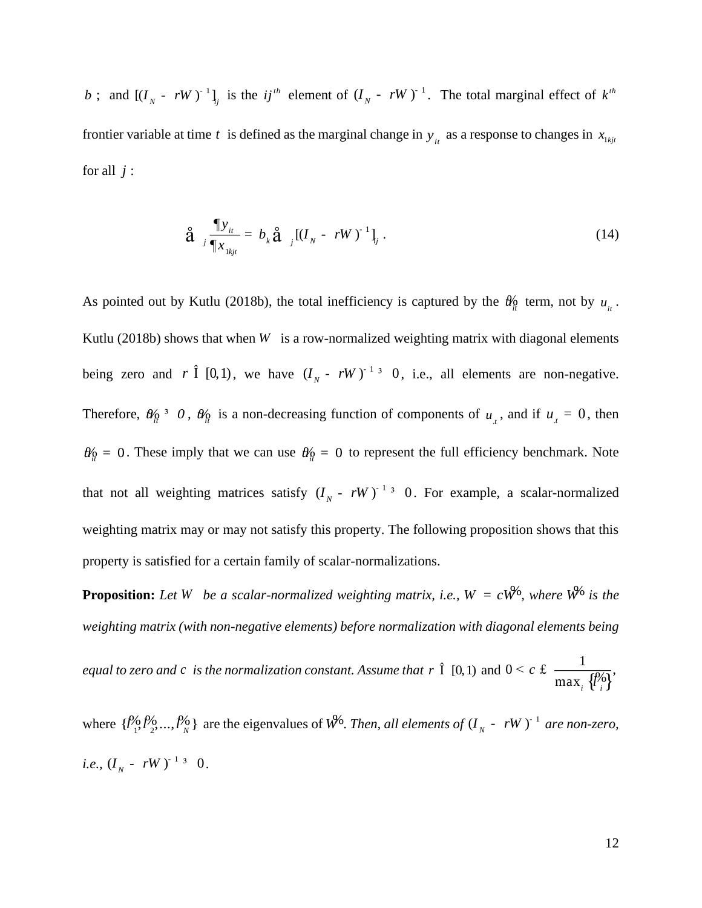; and  $[(I_N - rW)^{-1}]_j$  is the *ij*<sup>th</sup> element of  $(I_N - rW)^{-1}$ . The total marginal effect of  $k^{th}$ frontier variable at time t is defined as the marginal change in  $y_i$  as a response to changes in  $x_{1kjt}$ for all  $j$  :

$$
\hat{\mathbf{a}} \quad \frac{\P y_{it}}{\P x_{1kjt}} = b_k \hat{\mathbf{a}} \quad \left[ (I_N - rW)^{-1} \right]_{ij} . \tag{14}
$$

*b*; and  $[(I_x - iW)^{-1}]_i$  is the *ij*<sup>n</sup> element of  $(I_x - rW)^{-1}$ . The total marginal effect of  $L^n$ <br>frontier variable at time *t* is defined as the marginal change in  $y_n$  as a response to changes in  $x_{i_0}$ ,<br>for all *j*:<br><br> As pointed out by Kutlu (2018b), the total inefficiency is captured by the  $\theta_{\mu}^{\prime}$  term, not by  $u_{\mu}$ . Kutlu (2018b) shows that when  $W$  is a row-normalized weighting matrix with diagonal elements being zero and r  $\hat{I}$  [0,1), we have  $(I_N - rW)^{-1}$  <sup>3</sup> 0, i.e., all elements are non-negative. Therefore,  $\theta_{\hat{u}}^0 \neq 0$ ,  $\theta_{\hat{u}}^0$  is a non-decreasing function of components of  $u_x$ , and if  $u_x = 0$ , then  $\theta_{\mu}^{\prime} = 0$ . These imply that we can use  $\theta_{\mu}^{\prime} = 0$  to represent the full efficiency benchmark. Note that not all weighting matrices satisfy  $(I<sub>N</sub> - rW)^{-1}$ <sup>3</sup> 0. For example, a scalar-normalized weighting matrix may or may not satisfy this property. The following proposition shows that this property is satisfied for a certain family of scalar-normalizations.

**Proposition:** Let W be a scalar-normalized weighting matrix, i.e.,  $W = cW^6$ , where  $W^6$  is the *weighting matrix (with non-negative elements) before normalization with diagonal elements being* 

*equal to zero and c is the normalization constant. Assume that <sup>r</sup>* Î [0,1) and  $0 \leq c \leq \frac{1}{\max_i \{\ell_i^{\phi_i}\}},$  $\epsilon$  c £  $\frac{1}{\max_{\theta} \sqrt{\frac{\beta}{n}}}$ 

where  $\{l_1^{\rho_0}, l_2^{\rho_0}, ..., l_N^{\rho_N}\}$  are the eigenvalues of  $W^0$ . *Then, all elements of*  $(I_N - rW)^{-1}$  *are non-zero, i.e.,*  $(I_N - rW)^{-1}$ <sup>3</sup> 0.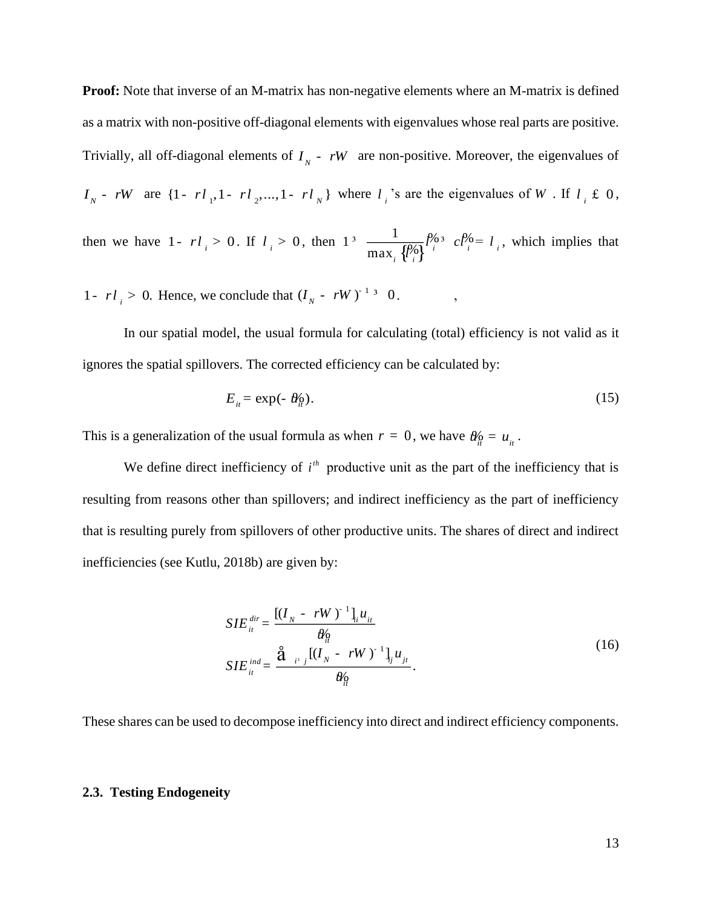**Proof:** Note that inverse of an M-matrix has non-negative elements where an M-matrix is defined as a matrix with non-positive off-diagonal elements with eigenvalues whose real parts are positive. Trivially, all off-diagonal elements of  $I<sub>N</sub>$  -  $rW$  are non-positive. Moreover, the eigenvalues of  $I_N$  - *rW* are  $\{1 - r l_1, 1 - r l_2, ..., 1 - r l_N\}$  where  $l_i$  's are the eigenvalues of W. If  $l_i \notin \{0\}$ , then we have 1-  $rl_i > 0$ . If  $l_i > 0$ , then  $\left\{ \begin{matrix} p_0' \\ i \end{matrix} \right\}$ <sup>*i*</sup>  $\left\{ \begin{matrix} i & i \\ i & i \end{matrix} \right\}$  $1^{3} \frac{1}{\sqrt{1-\frac{1}{2}} \sqrt{2}} \approx c$ max  $l^{\prime\prime 0}$ <sup>3</sup>  $cl^{\prime\prime 0} = l$ *l* <sup>3</sup>  $\frac{1}{\max_{i} \int \frac{\rho_0}{i}$   $\ell_i^{i} = l_i$ , which implies that

1-  $rl_i > 0$ . Hence, we conclude that  $(I_N - rW)^{-1/3} = 0$ .

In our spatial model, the usual formula for calculating (total) efficiency is not valid as it ignores the spatial spillovers. The corrected efficiency can be calculated by:

$$
E_{\mu} = \exp(-\theta_{\mu}^{0}). \tag{15}
$$

*i i*

This is a generalization of the usual formula as when  $r = 0$ , we have  $\theta_{\hat{u}}^0 = u_{\hat{u}}^0$ .

We define direct inefficiency of  $i<sup>th</sup>$  productive unit as the part of the inefficiency that is resulting from reasons other than spillovers; and indirect inefficiency as the part of inefficiency that is resulting purely from spillovers of other productive units. The shares of direct and indirect inefficiencies (see Kutlu, 2018b) are given by:

$$
SIE_{it}^{dir} = \frac{[(I_N - rW)^{-1}]_{i} u_{it}}{\theta_{it}^0}
$$
  
\n
$$
SIE_{it}^{ind} = \frac{\hat{\mathbf{a}}_{i} I_{ij} [(I_N - rW)^{-1}]_{i} u_{jt}}{\theta_{it}^0}.
$$
\n(16)

These shares can be used to decompose inefficiency into direct and indirect efficiency components.

#### **2.3. Testing Endogeneity**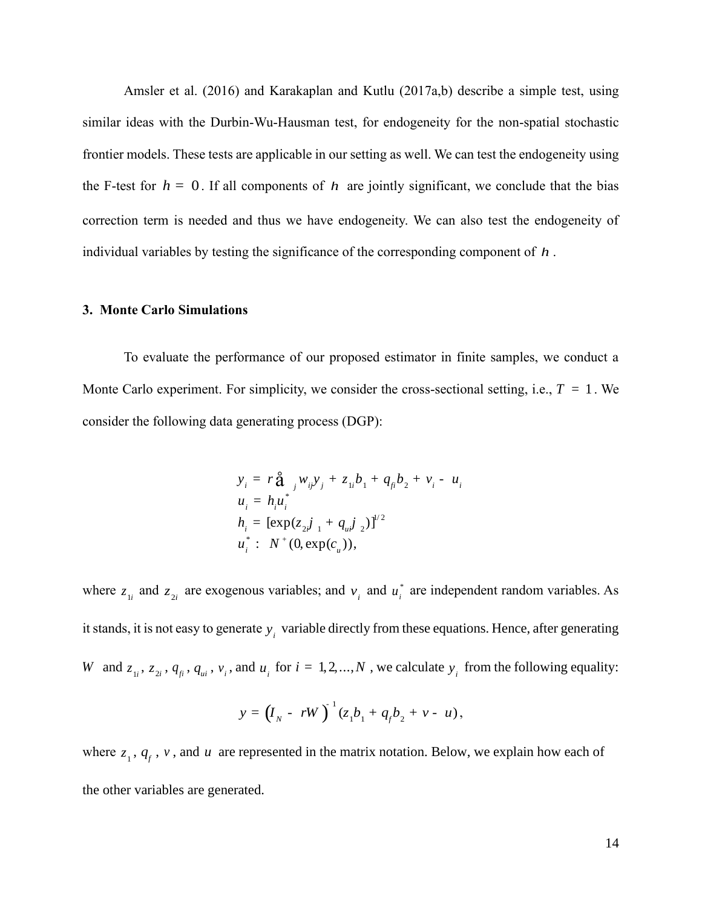Amsler et al. (2016) and Karakaplan and Kutlu (2017a,b) describe a simple test, using similar ideas with the Durbin-Wu-Hausman test, for endogeneity for the non-spatial stochastic frontier models. These tests are applicable in our setting as well. We can test the endogeneity using the F-test for  $h = 0$ . If all components of h are jointly significant, we conclude that the bias correction term is needed and thus we have endogeneity. We can also test the endogeneity of individual variables by testing the significance of the corresponding component of *<sup>h</sup>* .

#### **3. Monte Carlo Simulations**

To evaluate the performance of our proposed estimator in finite samples, we conduct a Monte Carlo experiment. For simplicity, we consider the cross-sectional setting, i.e.,  $T = 1$ . We consider the following data generating process (DGP):

$$
y_i = r \hat{\mathbf{a}}_{i} W_{ij} y_j + z_{1i} b_1 + q_{fi} b_2 + v_i - u_i
$$
  
\n
$$
u_i = h_i u_i^*
$$
  
\n
$$
h_i = [\exp(z_{2i} j_{1} + q_{ui} j_{2})]^{1/2}
$$
  
\n
$$
u_i^* : N^+(0, \exp(c_u)),
$$

where  $z_{1i}$  and  $z_{2i}$  are exogenous variables; and  $v_i$  and  $u_i^*$  are independent random variables. As it stands, it is not easy to generate  $y_i$  variable directly from these equations. Hence, after generating W and  $z_{1i}$ ,  $z_{2i}$ ,  $q_{ji}$ ,  $q_{ui}$ ,  $v_i$ , and  $u_i$  for  $i = 1, 2, ..., N$ , we calculate  $y_i$  from the following equality:

$$
y = (I_{N} - rW)^{-1}(z_{1}b_{1} + q_{f}b_{2} + v - u),
$$

where  $z_1$ ,  $q_f$ ,  $v$ , and  $u$  are represented in the matrix notation. Below, we explain how each of the other variables are generated.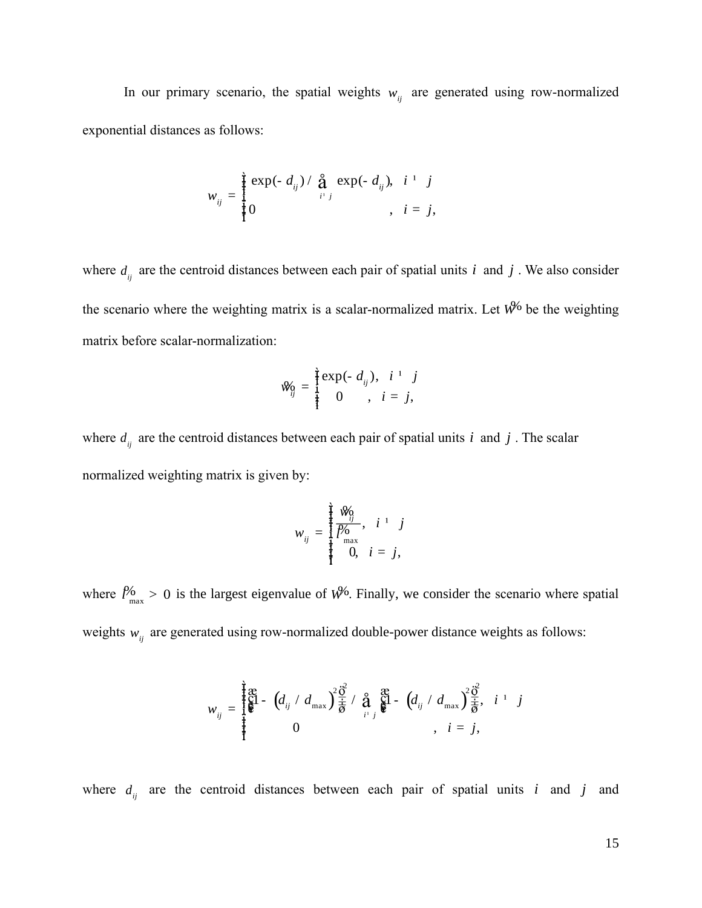In our primary scenario, the spatial weights  $w_{ij}$  are generated using row-normalized exponential distances as follows:

$$
w_{ij} = \frac{\hat{j}}{\hat{j}} \frac{\exp(-d_{ij})}{\frac{\hat{j}}{\hat{k}}}
$$
 exp(-d<sub>ij</sub>),  $i^{-1}$  j  
,  $i = j$ ,

where  $d_{ij}$  are the centroid distances between each pair of spatial units *i* and *j*. We also consider the scenario where the weighting matrix is a scalar-normalized matrix. Let  $W^6$  be the weighting matrix before scalar-normalization:

$$
\mathcal{W}_{ij} = \frac{\mathbf{i}}{\mathbf{i}} \exp(-d_{ij}), \quad i^{-1} \quad j
$$
  
0,  $i = j$ ,

where  $d_{ij}$  are the centroid distances between each pair of spatial units *i* and *j*. The scalar normalized weighting matrix is given by:

$$
w_{ij} = \begin{cases} \frac{1}{i} \frac{\mathcal{W}_0}{i} & i \quad i \quad j \\ \frac{\mathcal{P}_0}{\max} & 0, \quad i = j, \end{cases}
$$

where  $l_{\text{max}}^{\prime 6} > 0$  is the largest eigenvalue of  $W^{\prime 6}$ . Finally, we consider the scenario where spatial weights  $w_{ij}$  are generated using row-normalized double-power distance weights as follows:

$$
w_{ij} = \begin{cases} \frac{2}{3} \mathbf{g} & \text{if } i = \left( d_{ij} \ / \ d_{\text{max}} \right) \frac{2}{\frac{1}{9}} \frac{1}{\frac{1}{9}} \ / \ \frac{2}{9} \ \frac{2}{3} \ \frac{1}{9} & \text{if } i = j, \\ 0 & \text{if } i = j, \end{cases}
$$

where  $d_{ij}$  are the centroid distances between each pair of spatial units i and j and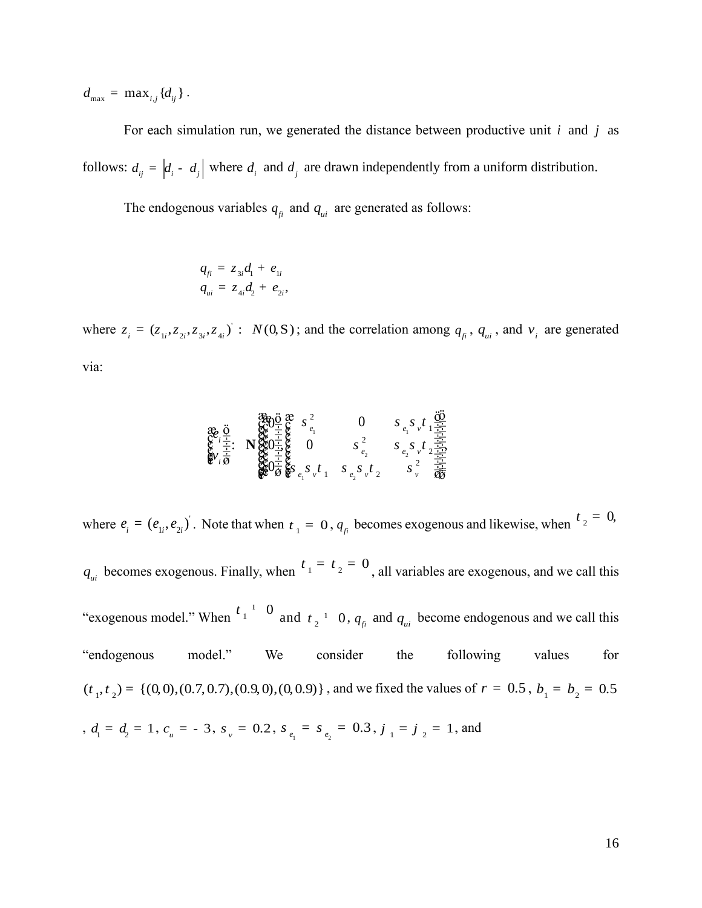$d_{\text{max}} = \max_{i,j} \{d_{ij}\}.$ 

For each simulation run, we generated the distance between productive unit *i* and *j* as follows:  $d_{ij} = \begin{vmatrix} d_i & d_j \end{vmatrix}$  where  $d_i$  and  $d_j$  are drawn independently from a uniform distribution.

The endogenous variables  $q_{ji}$  and  $q_{ui}$  are generated as follows:

$$
q_{fi} = z_{3i}d_1 + e_{1i}
$$
  

$$
q_{ui} = z_{4i}d_2 + e_{2i},
$$

where  $z_i = (z_{1i}, z_{2i}, z_{3i}, z_{4i})$ :  $N(0, S)$ ; and the correlation among  $q_{fi}$ ,  $q_{ui}$ , and  $v_i$  are generated via:

$$
\begin{array}{c}\n\text{a.} \\
\text{b.} \\
\text{c.} \\
\text{d.} \\
\text{d.} \\
\text{e.} \\
\text{f.} \\
\text{g.} \\
\text{h.} \\
\text{g.} \\
\text{h.} \\
\text{h.} \\
\text{h.} \\
\text{h.} \\
\text{h.} \\
\text{h.} \\
\text{h.} \\
\text{h.} \\
\text{h.} \\
\text{h.} \\
\text{h.} \\
\text{h.} \\
\text{h.} \\
\text{h.} \\
\text{h.} \\
\text{h.} \\
\text{h.} \\
\text{h.} \\
\text{h.} \\
\text{h.} \\
\text{h.} \\
\text{h.} \\
\text{h.} \\
\text{h.} \\
\text{h.} \\
\text{h.} \\
\text{h.} \\
\text{h.} \\
\text{h.} \\
\text{h.} \\
\text{h.} \\
\text{h.} \\
\text{h.} \\
\text{h.} \\
\text{h.} \\
\text{h.} \\
\text{h.} \\
\text{h.} \\
\text{h.} \\
\text{h.} \\
\text{h.} \\
\text{h.} \\
\text{h.} \\
\text{h.} \\
\text{h.} \\
\text{h.} \\
\text{h.} \\
\text{h.} \\
\text{h.} \\
\text{h.} \\
\text{h.} \\
\text{h.} \\
\text{h.} \\
\text{h.} \\
\text{h.} \\
\text{h.} \\
\text{h.} \\
\text{h.} \\
\text{h.} \\
\text{h.} \\
\text{h.} \\
\text{h.} \\
\text{h.} \\
\text{h.} \\
\text{h.} \\
\text{h.} \\
\text{h.} \\
\text{h.} \\
\text{h.} \\
\text{h.} \\
\text{h.} \\
\text{h.} \\
\text{h.} \\
\text{h.} \\
\text{h.} \\
\text{h.} \\
\text{h.} \\
\text{h.} \\
\text{h.} \\
\text{h.} \\
\text{h.} \\
\text{h.} \\
\text{h.} \\
\text{h.} \\
\text{h.} \\
\text{h.} \\
\text{h.} \\
\text{h.} \\
\text{h.} \\
\text{h.} \\
\text{h.} \\
\text{h.} \\
\text{h.} \\
\text{h.} \\
\text{h.} \\
\text{h.} \\
\text{h.} \\
\text{
$$

where  $e_i = (e_{1i}, e_{2i})$ . Note that when  $t_1 = 0$ ,  $q_{fi}$  becomes exogenous and likewise, when  $t_2 = 0$ ,

 $q_{\mu i}$  becomes exogenous. Finally, when  $t_1 = t_2 = 0$ , all variables are exogenous, and we call this "exogenous model." When  $\frac{t_1^{-1}}{1}$   $\frac{0}{1}$  and  $t_2^{-1}$   $\frac{0}{4}$ ,  $q_{\mu i}$  become endogenous and we call this "endogenous model." We consider the following values for  $(t_1, t_2) = \{(0, 0), (0.7, 0.7), (0.9, 0), (0, 0.9)\}$ , and we fixed the values of  $r = 0.5$ ,  $b_1 = b_2 = 0.5$ ,  $d_1 = d_2 = 1$ ,  $c_u = -3$ ,  $s_v = 0.2$ ,  $s_{e_1} = s_{e_2} = 0.3$ ,  $j_1 = j_2 = 1$ , and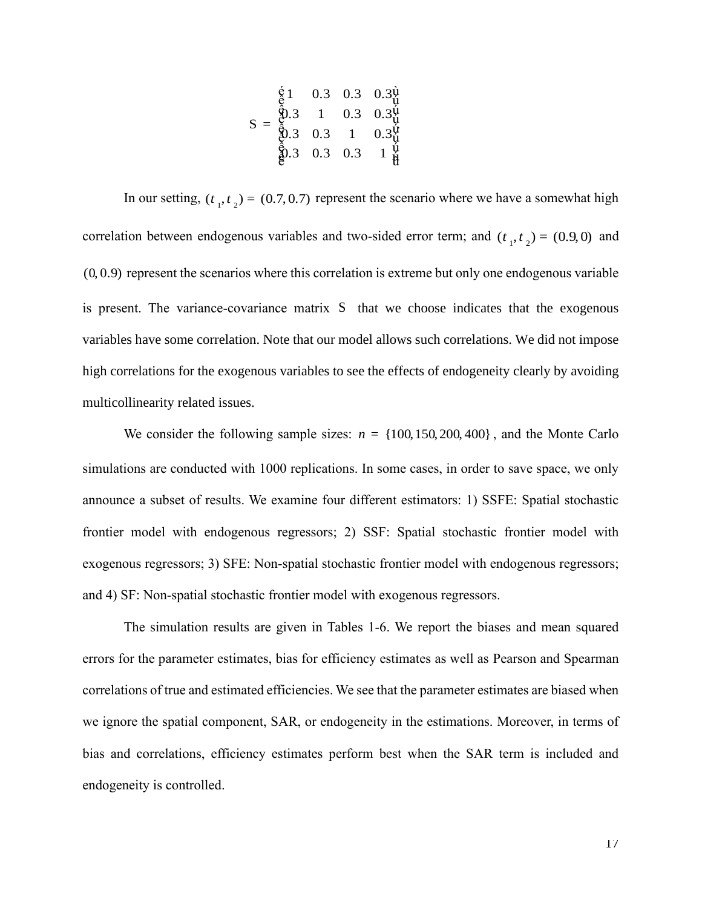$$
S = \begin{array}{cccc} \n\dot{\xi} & 1 & 0.3 & 0.3 & 0.3\dot{\psi} \\ \n\dot{\xi} & 1 & 0.3 & 0.3\dot{\psi} \\ \n\dot{\xi} & 0.3 & 1 & 0.3\dot{\psi} \\ \n\dot{\xi} & 0.3 & 0.3 & 1 & 0.3\dot{\psi} \\ \n\dot{\xi} & 0.3 & 0.3 & 0.3 & 1 & \dot{\psi} \\ \n\dot{\xi} & 0.3 & 0.3 & 0.3 & 1 & \dot{\psi} \\ \n\end{array}
$$

17 1 0.3 0.3 0.3 In our setting,  $(t_1, t_2) = (0.7, 0.7)$  represent the scenario where we have a somewhat high correlation between endogenous variables and two-sided error term; and  $(t_1, t_2) = (0.9, 0)$  and (0, 0.9) represent the scenarios where this correlation is extreme but only one endogenous variable is present. The variance-covariance matrix S that we choose indicates that the exogenous variables have some correlation. Note that our model allows such correlations. We did not impose high correlations for the exogenous variables to see the effects of endogeneity clearly by avoiding multicollinearity related issues.

We consider the following sample sizes:  $n = \{100, 150, 200, 400\}$ , and the Monte Carlo simulations are conducted with 1000 replications. In some cases, in order to save space, we only announce a subset of results. We examine four different estimators: 1) SSFE: Spatial stochastic frontier model with endogenous regressors; 2) SSF: Spatial stochastic frontier model with exogenous regressors; 3) SFE: Non-spatial stochastic frontier model with endogenous regressors; and 4) SF: Non-spatial stochastic frontier model with exogenous regressors.

The simulation results are given in Tables 1-6. We report the biases and mean squared errors for the parameter estimates, bias for efficiency estimates as well as Pearson and Spearman correlations of true and estimated efficiencies. We see that the parameter estimates are biased when we ignore the spatial component, SAR, or endogeneity in the estimations. Moreover, in terms of bias and correlations, efficiency estimates perform best when the SAR term is included and endogeneity is controlled.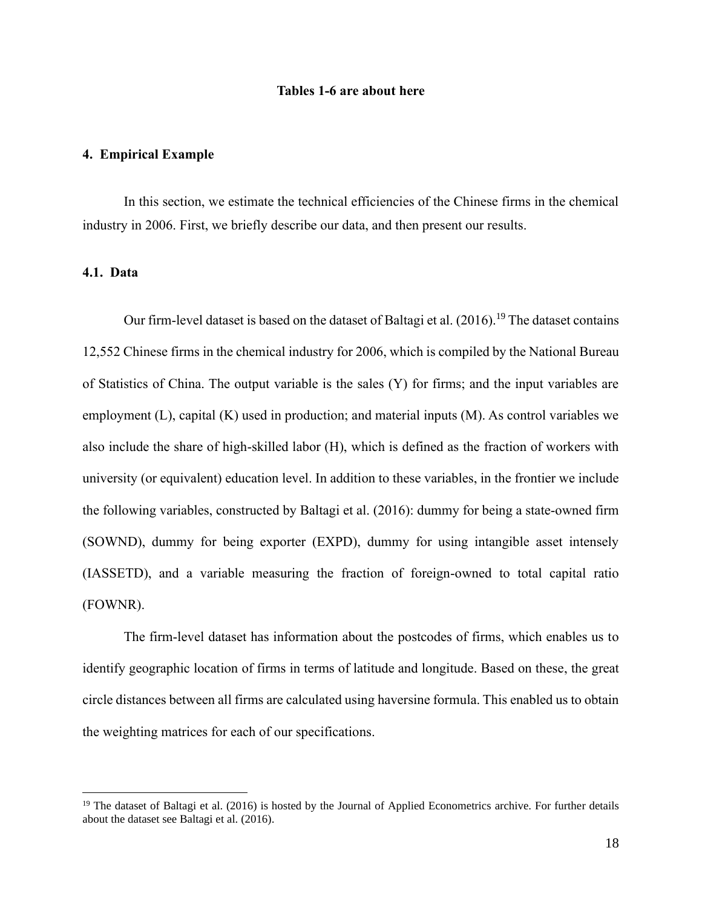#### **Tables 1-6 are about here**

#### **4. Empirical Example**

In this section, we estimate the technical efficiencies of the Chinese firms in the chemical industry in 2006. First, we briefly describe our data, and then present our results.

# **4.1. Data**

Our firm-level dataset is based on the dataset of Baltagi et al.  $(2016)$ .<sup>19</sup> The dataset contains 12,552 Chinese firms in the chemical industry for 2006, which is compiled by the National Bureau of Statistics of China. The output variable is the sales (Y) for firms; and the input variables are employment (L), capital (K) used in production; and material inputs (M). As control variables we also include the share of high-skilled labor (H), which is defined as the fraction of workers with university (or equivalent) education level. In addition to these variables, in the frontier we include the following variables, constructed by Baltagi et al. (2016): dummy for being a state-owned firm (SOWND), dummy for being exporter (EXPD), dummy for using intangible asset intensely (IASSETD), and a variable measuring the fraction of foreign-owned to total capital ratio (FOWNR).

The firm-level dataset has information about the postcodes of firms, which enables us to identify geographic location of firms in terms of latitude and longitude. Based on these, the great circle distances between all firms are calculated using haversine formula. This enabled us to obtain the weighting matrices for each of our specifications.

<sup>&</sup>lt;sup>19</sup> The dataset of Baltagi et al. (2016) is hosted by the Journal of Applied Econometrics archive. For further details about the dataset see Baltagi et al. (2016).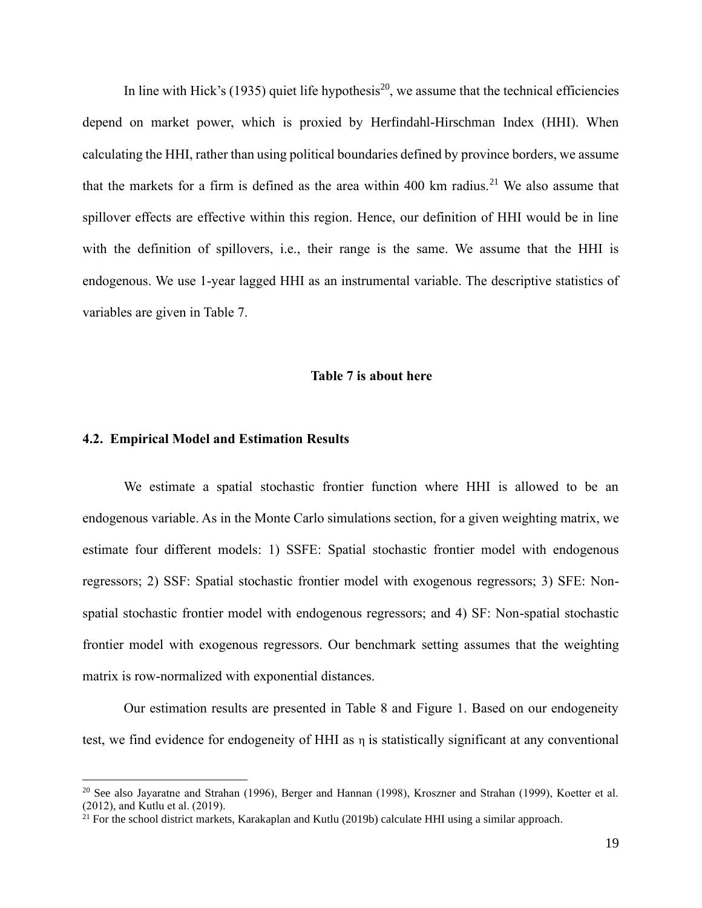In line with Hick's (1935) quiet life hypothesis<sup>20</sup>, we assume that the technical efficiencies depend on market power, which is proxied by Herfindahl*-*Hirschman Index (HHI). When calculating the HHI, rather than using political boundaries defined by province borders, we assume that the markets for a firm is defined as the area within 400 km radius.<sup>21</sup> We also assume that spillover effects are effective within this region. Hence, our definition of HHI would be in line with the definition of spillovers, i.e., their range is the same. We assume that the HHI is endogenous. We use 1-year lagged HHI as an instrumental variable. The descriptive statistics of variables are given in Table 7.

#### **Table 7 is about here**

#### **4.2. Empirical Model and Estimation Results**

We estimate a spatial stochastic frontier function where HHI is allowed to be an endogenous variable. As in the Monte Carlo simulations section, for a given weighting matrix, we estimate four different models: 1) SSFE: Spatial stochastic frontier model with endogenous regressors; 2) SSF: Spatial stochastic frontier model with exogenous regressors; 3) SFE: Nonspatial stochastic frontier model with endogenous regressors; and 4) SF: Non-spatial stochastic frontier model with exogenous regressors. Our benchmark setting assumes that the weighting matrix is row-normalized with exponential distances.

Our estimation results are presented in Table 8 and Figure 1. Based on our endogeneity test, we find evidence for endogeneity of HHI as  $\eta$  is statistically significant at any conventional

<sup>&</sup>lt;sup>20</sup> See also Jayaratne and Strahan (1996), Berger and Hannan (1998), Kroszner and Strahan (1999), Koetter et al. (2012), and Kutlu et al. (2019).

 $21$  For the school district markets, Karakaplan and Kutlu (2019b) calculate HHI using a similar approach.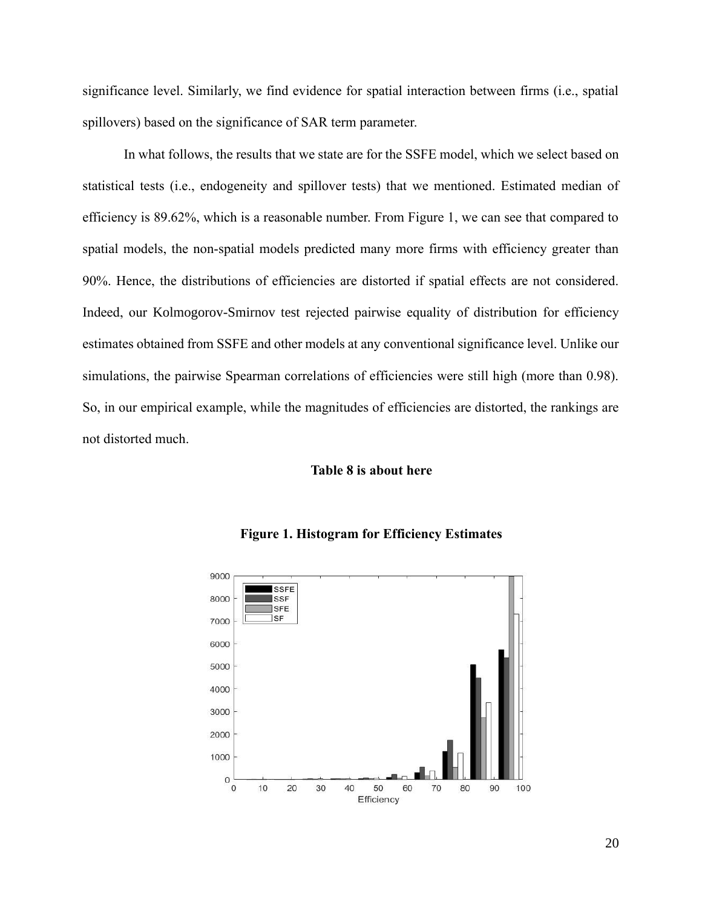significance level. Similarly, we find evidence for spatial interaction between firms (i.e., spatial spillovers) based on the significance of SAR term parameter.

In what follows, the results that we state are for the SSFE model, which we select based on statistical tests (i.e., endogeneity and spillover tests) that we mentioned. Estimated median of efficiency is 89.62%, which is a reasonable number. From Figure 1, we can see that compared to spatial models, the non-spatial models predicted many more firms with efficiency greater than 90%. Hence, the distributions of efficiencies are distorted if spatial effects are not considered. Indeed, our Kolmogorov-Smirnov test rejected pairwise equality of distribution for efficiency estimates obtained from SSFE and other models at any conventional significance level. Unlike our simulations, the pairwise Spearman correlations of efficiencies were still high (more than 0.98). So, in our empirical example, while the magnitudes of efficiencies are distorted, the rankings are not distorted much.

#### **Table 8 is about here**



#### **Figure 1. Histogram for Efficiency Estimates**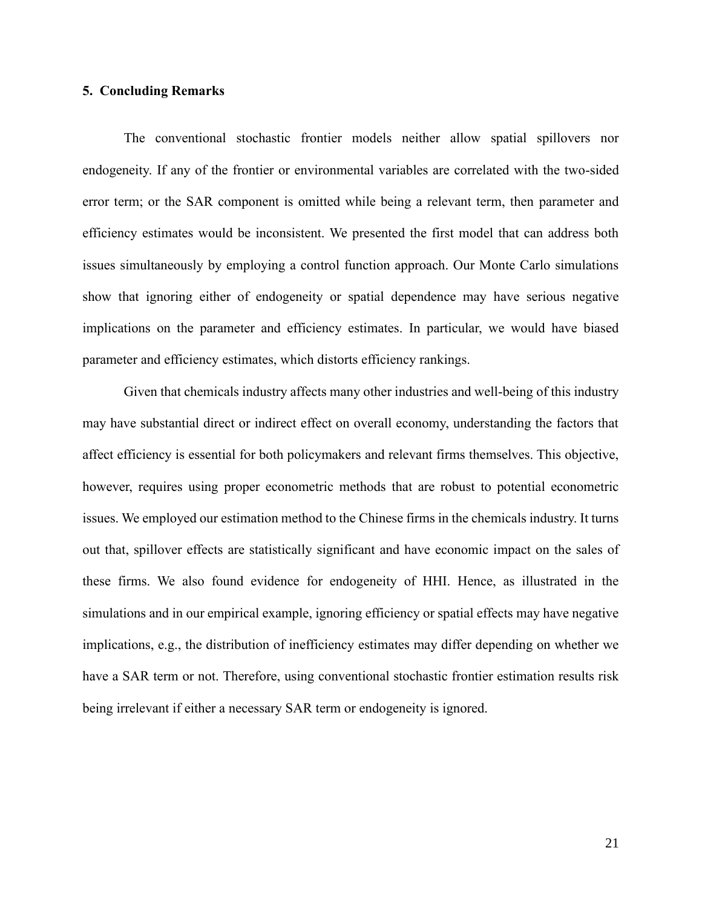# **5. Concluding Remarks**

The conventional stochastic frontier models neither allow spatial spillovers nor endogeneity. If any of the frontier or environmental variables are correlated with the two-sided error term; or the SAR component is omitted while being a relevant term, then parameter and efficiency estimates would be inconsistent. We presented the first model that can address both issues simultaneously by employing a control function approach. Our Monte Carlo simulations show that ignoring either of endogeneity or spatial dependence may have serious negative implications on the parameter and efficiency estimates. In particular, we would have biased parameter and efficiency estimates, which distorts efficiency rankings.

Given that chemicals industry affects many other industries and well-being of this industry may have substantial direct or indirect effect on overall economy, understanding the factors that affect efficiency is essential for both policymakers and relevant firms themselves. This objective, however, requires using proper econometric methods that are robust to potential econometric issues. We employed our estimation method to the Chinese firms in the chemicals industry. It turns out that, spillover effects are statistically significant and have economic impact on the sales of these firms. We also found evidence for endogeneity of HHI. Hence, as illustrated in the simulations and in our empirical example, ignoring efficiency or spatial effects may have negative implications, e.g., the distribution of inefficiency estimates may differ depending on whether we have a SAR term or not. Therefore, using conventional stochastic frontier estimation results risk being irrelevant if either a necessary SAR term or endogeneity is ignored.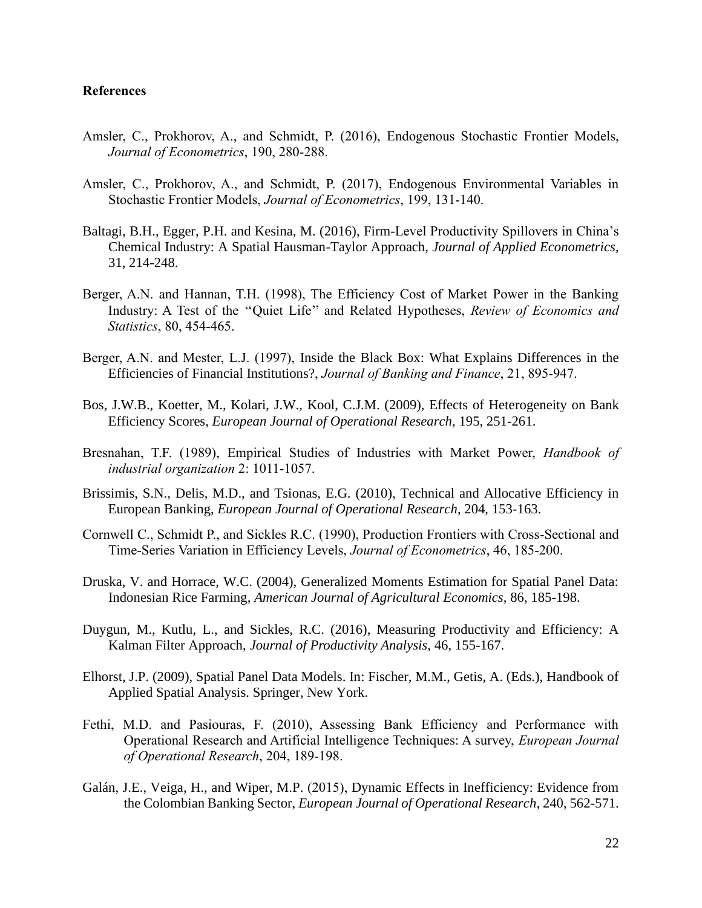# **References**

- Amsler, C., Prokhorov, A., and Schmidt, P. (2016), Endogenous Stochastic Frontier Models, *Journal of Econometrics*, 190, 280-288.
- Amsler, C., Prokhorov, A., and Schmidt, P. (2017), Endogenous Environmental Variables in Stochastic Frontier Models, *Journal of Econometrics*, 199, 131-140.
- Baltagi, B.H., Egger, P.H. and Kesina, M. (2016), Firm-Level Productivity Spillovers in China's Chemical Industry: A Spatial Hausman-Taylor Approach, *Journal of Applied Econometrics*, 31, 214-248.
- Berger, A.N. and Hannan, T.H. (1998), The Efficiency Cost of Market Power in the Banking Industry: A Test of the ''Quiet Life'' and Related Hypotheses, *Review of Economics and Statistics*, 80, 454-465.
- Berger, A.N. and Mester, L.J. (1997), Inside the Black Box: What Explains Differences in the Efficiencies of Financial Institutions?, *Journal of Banking and Finance*, 21, 895-947.
- Bos, J.W.B., Koetter, M., Kolari, J.W., Kool, C.J.M. (2009), Effects of Heterogeneity on Bank Efficiency Scores, *European Journal of Operational Research*, 195, 251-261.
- Bresnahan, T.F. (1989), Empirical Studies of Industries with Market Power, *Handbook of industrial organization* 2: 1011-1057.
- Brissimis, S.N., Delis, M.D., and Tsionas, E.G. (2010), Technical and Allocative Efficiency in European Banking, *European Journal of Operational Research*, 204, 153-163.
- Cornwell C., Schmidt P., and Sickles R.C. (1990), Production Frontiers with Cross-Sectional and Time-Series Variation in Efficiency Levels, *Journal of Econometrics*, 46, 185-200.
- Druska, V. and Horrace, W.C. (2004), Generalized Moments Estimation for Spatial Panel Data: Indonesian Rice Farming, *American Journal of Agricultural Economics*, 86, 185-198.
- Duygun, M., Kutlu, L., and Sickles, R.C. (2016), Measuring Productivity and Efficiency: A Kalman Filter Approach, *Journal of Productivity Analysis*, 46, 155-167.
- Elhorst, J.P. (2009), Spatial Panel Data Models. In: Fischer, M.M., Getis, A. (Eds.), Handbook of Applied Spatial Analysis. Springer, New York.
- Fethi, M.D. and Pasiouras, F. (2010), Assessing Bank Efficiency and Performance with Operational Research and Artificial Intelligence Techniques: A survey, *European Journal of Operational Research*, 204, 189-198.
- Galán, J.E., Veiga, H., and Wiper, M.P. (2015), Dynamic Effects in Inefficiency: Evidence from the Colombian Banking Sector, *European Journal of Operational Research*, 240, 562-571.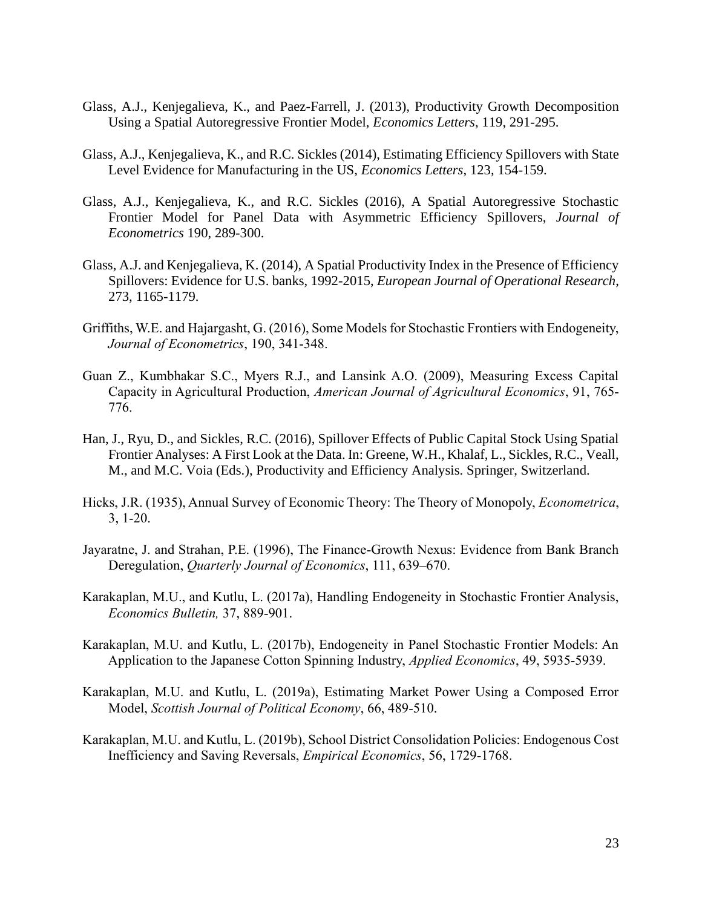- Glass, A.J., Kenjegalieva, K., and Paez-Farrell, J. (2013), Productivity Growth Decomposition Using a Spatial Autoregressive Frontier Model, *Economics Letters*, 119, 291-295.
- Glass, A.J., Kenjegalieva, K., and R.C. Sickles (2014), Estimating Efficiency Spillovers with State Level Evidence for Manufacturing in the US, *Economics Letters*, 123, 154-159.
- Glass, A.J., Kenjegalieva, K., and R.C. Sickles (2016), A Spatial Autoregressive Stochastic Frontier Model for Panel Data with Asymmetric Efficiency Spillovers, *Journal of Econometrics* 190, 289-300.
- Glass, A.J. and Kenjegalieva, K. (2014), A Spatial Productivity Index in the Presence of Efficiency Spillovers: Evidence for U.S. banks, 1992-2015, *European Journal of Operational Research*, 273, 1165-1179.
- Griffiths, W.E. and Hajargasht, G. (2016), Some Models for Stochastic Frontiers with Endogeneity, *Journal of Econometrics*, 190, 341-348.
- Guan Z., Kumbhakar S.C., Myers R.J., and Lansink A.O. (2009), Measuring Excess Capital Capacity in Agricultural Production, *American Journal of Agricultural Economics*, 91, 765- 776.
- Han, J., Ryu, D., and Sickles, R.C. (2016), Spillover Effects of Public Capital Stock Using Spatial Frontier Analyses: A First Look at the Data. In: Greene, W.H., Khalaf, L., Sickles, R.C., Veall, M., and M.C. Voia (Eds.), Productivity and Efficiency Analysis. Springer, Switzerland.
- Hicks, J.R. (1935), Annual Survey of Economic Theory: The Theory of Monopoly, *Econometrica*, 3, 1-20.
- Jayaratne, J. and Strahan, P.E. (1996), The Finance-Growth Nexus: Evidence from Bank Branch Deregulation, *Quarterly Journal of Economics*, 111, 639–670.
- Karakaplan, M.U., and Kutlu, L. (2017a), Handling Endogeneity in Stochastic Frontier Analysis, *Economics Bulletin,* 37, 889-901.
- Karakaplan, M.U. and Kutlu, L. (2017b), Endogeneity in Panel Stochastic Frontier Models: An Application to the Japanese Cotton Spinning Industry, *Applied Economics*, 49, 5935-5939.
- Karakaplan, M.U. and Kutlu, L. (2019a), Estimating Market Power Using a Composed Error Model, *Scottish Journal of Political Economy*, 66, 489-510.
- Karakaplan, M.U. and Kutlu, L. (2019b), School District Consolidation Policies: Endogenous Cost Inefficiency and Saving Reversals, *Empirical Economics*, 56, 1729-1768.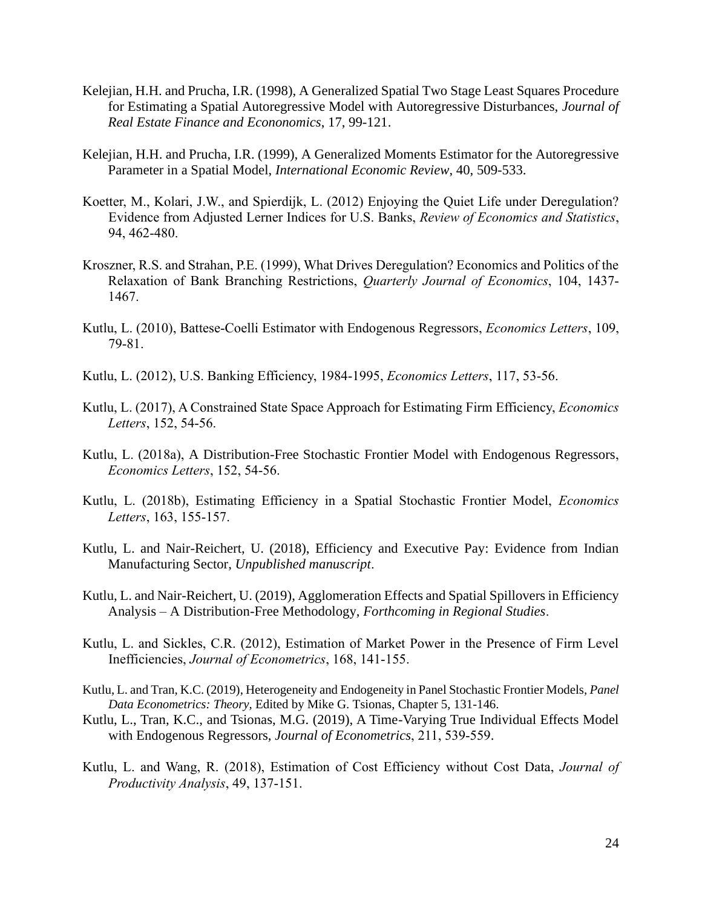- Kelejian, H.H. and Prucha, I.R. (1998), A Generalized Spatial Two Stage Least Squares Procedure for Estimating a Spatial Autoregressive Model with Autoregressive Disturbances, *Journal of Real Estate Finance and Econonomics*, 17, 99-121.
- Kelejian, H.H. and Prucha, I.R. (1999), A Generalized Moments Estimator for the Autoregressive Parameter in a Spatial Model, *International Economic Review*, 40, 509-533.
- Koetter, M., Kolari, J.W., and Spierdijk, L. (2012) Enjoying the Quiet Life under Deregulation? Evidence from Adjusted Lerner Indices for U.S. Banks, *Review of Economics and Statistics*, 94, 462-480.
- Kroszner, R.S. and Strahan, P.E. (1999), What Drives Deregulation? Economics and Politics of the Relaxation of Bank Branching Restrictions, *Quarterly Journal of Economics*, 104, 1437- 1467.
- Kutlu, L. (2010), Battese-Coelli Estimator with Endogenous Regressors, *Economics Letters*, 109, 79-81.
- Kutlu, L. (2012), U.S. Banking Efficiency, 1984-1995, *Economics Letters*, 117, 53-56.
- Kutlu, L. (2017), A Constrained State Space Approach for Estimating Firm Efficiency, *Economics Letters*, 152, 54-56.
- Kutlu, L. (2018a), A Distribution-Free Stochastic Frontier Model with Endogenous Regressors, *Economics Letters*, 152, 54-56.
- Kutlu, L. (2018b), Estimating Efficiency in a Spatial Stochastic Frontier Model, *Economics Letters*, 163, 155-157.
- Kutlu, L. and Nair-Reichert, U. (2018), Efficiency and Executive Pay: Evidence from Indian Manufacturing Sector, *Unpublished manuscript*.
- Kutlu, L. and Nair-Reichert, U. (2019), Agglomeration Effects and Spatial Spillovers in Efficiency Analysis – A Distribution-Free Methodology, *Forthcoming in Regional Studies*.
- Kutlu, L. and Sickles, C.R. (2012), Estimation of Market Power in the Presence of Firm Level Inefficiencies, *Journal of Econometrics*, 168, 141-155.
- Kutlu, L. and Tran, K.C. (2019), Heterogeneity and Endogeneity in Panel Stochastic Frontier Models, *Panel Data Econometrics: Theory*, Edited by Mike G. Tsionas, Chapter 5, 131-146.
- Kutlu, L., Tran, K.C., and Tsionas, M.G. (2019), A Time-Varying True Individual Effects Model with Endogenous Regressors, *Journal of Econometrics*, 211, 539-559.
- Kutlu, L. and Wang, R. (2018), Estimation of Cost Efficiency without Cost Data, *Journal of Productivity Analysis*, 49, 137-151.